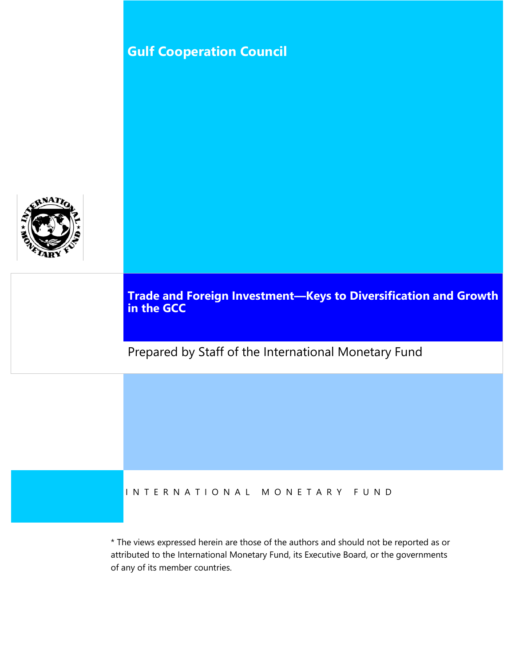# **Gulf Cooperation Council**



**Trade and Foreign Investment—Keys to Diversification and Growth in the GCC** 

Prepared by Staff of the International Monetary Fund

### I N T E R N A T I O N A L M O N E T A R Y F U N D

\* The views expressed herein are those of the authors and should not be reported as or attributed to the International Monetary Fund, its Executive Board, or the governments of any of its member countries.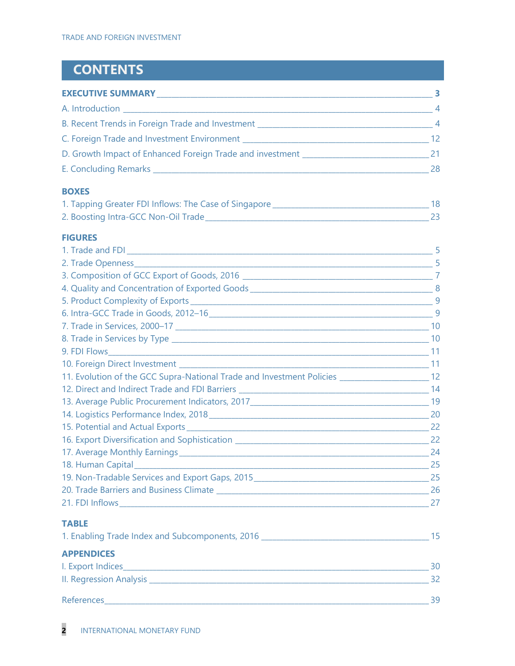# **CONTENTS**

| <b>EXECUTIVE SUMMARY</b>                                                                                                                                                                                                            | В.              |
|-------------------------------------------------------------------------------------------------------------------------------------------------------------------------------------------------------------------------------------|-----------------|
|                                                                                                                                                                                                                                     | $\overline{4}$  |
| B. Recent Trends in Foreign Trade and Investment <b>EXECUTE:</b> All the state of the state of the state of the state of the state of the state of the state of the state of the state of the state of the state of the state of th | $\overline{4}$  |
|                                                                                                                                                                                                                                     | 12 <sup>2</sup> |
| D. Growth Impact of Enhanced Foreign Trade and investment <b>Constitution</b>                                                                                                                                                       |                 |
| E. Concluding Remarks <b>E. Concluding Remarks</b>                                                                                                                                                                                  | 28              |

### **BOXES**

| 1. Tapping Greater FDI Inflows: The Case of Singapore |  |
|-------------------------------------------------------|--|
| 2. Boosting Intra-GCC Non-Oil Trade_                  |  |

### **FIGURES**

|                                                                                                         | -9            |
|---------------------------------------------------------------------------------------------------------|---------------|
|                                                                                                         |               |
|                                                                                                         |               |
|                                                                                                         |               |
|                                                                                                         |               |
|                                                                                                         |               |
|                                                                                                         |               |
|                                                                                                         |               |
|                                                                                                         |               |
|                                                                                                         |               |
| 12. Evolution of the GCC Supra-National Trade and Investment Policies ______________________________ 12 |               |
|                                                                                                         |               |
|                                                                                                         |               |
|                                                                                                         |               |
|                                                                                                         |               |
|                                                                                                         |               |
|                                                                                                         |               |
| 18. Human Capital 25                                                                                    |               |
|                                                                                                         |               |
|                                                                                                         |               |
|                                                                                                         |               |
| <b>TABLE</b>                                                                                            |               |
| 1. Enabling Trade Index and Subcomponents, 2016 ________________________________                        | 15            |
| <b>APPENDICES</b>                                                                                       | $\sim$ $\sim$ |

| I. Export Indices       |  |
|-------------------------|--|
| II. Regression Analysis |  |
| References              |  |
|                         |  |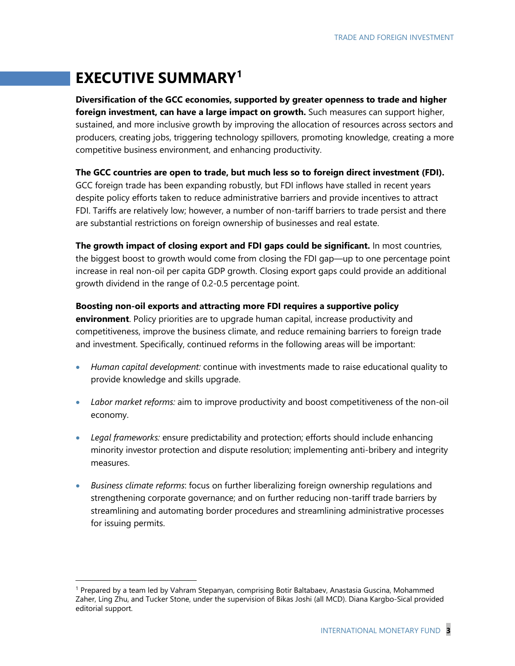# **EXECUTIVE SUMMARY[1](#page-2-0)**

**Diversification of the GCC economies, supported by greater openness to trade and higher foreign investment, can have a large impact on growth.** Such measures can support higher, sustained, and more inclusive growth by improving the allocation of resources across sectors and producers, creating jobs, triggering technology spillovers, promoting knowledge, creating a more competitive business environment, and enhancing productivity.

**The GCC countries are open to trade, but much less so to foreign direct investment (FDI).** 

GCC foreign trade has been expanding robustly, but FDI inflows have stalled in recent years despite policy efforts taken to reduce administrative barriers and provide incentives to attract FDI. Tariffs are relatively low; however, a number of non-tariff barriers to trade persist and there are substantial restrictions on foreign ownership of businesses and real estate.

**The growth impact of closing export and FDI gaps could be significant.** In most countries, the biggest boost to growth would come from closing the FDI gap—up to one percentage point increase in real non-oil per capita GDP growth. Closing export gaps could provide an additional growth dividend in the range of 0.2-0.5 percentage point.

**Boosting non-oil exports and attracting more FDI requires a supportive policy environment**. Policy priorities are to upgrade human capital, increase productivity and competitiveness, improve the business climate, and reduce remaining barriers to foreign trade and investment. Specifically, continued reforms in the following areas will be important:

- *Human capital development:* continue with investments made to raise educational quality to provide knowledge and skills upgrade.
- *Labor market reforms:* aim to improve productivity and boost competitiveness of the non-oil economy.
- *Legal frameworks:* ensure predictability and protection; efforts should include enhancing minority investor protection and dispute resolution; implementing anti-bribery and integrity measures.
- *Business climate reforms*: focus on further liberalizing foreign ownership regulations and strengthening corporate governance; and on further reducing non-tariff trade barriers by streamlining and automating border procedures and streamlining administrative processes for issuing permits.

<span id="page-2-0"></span> <sup>1</sup> Prepared by a team led by Vahram Stepanyan, comprising Botir Baltabaev, Anastasia Guscina, Mohammed Zaher, Ling Zhu, and Tucker Stone, under the supervision of Bikas Joshi (all MCD). Diana Kargbo-Sical provided editorial support.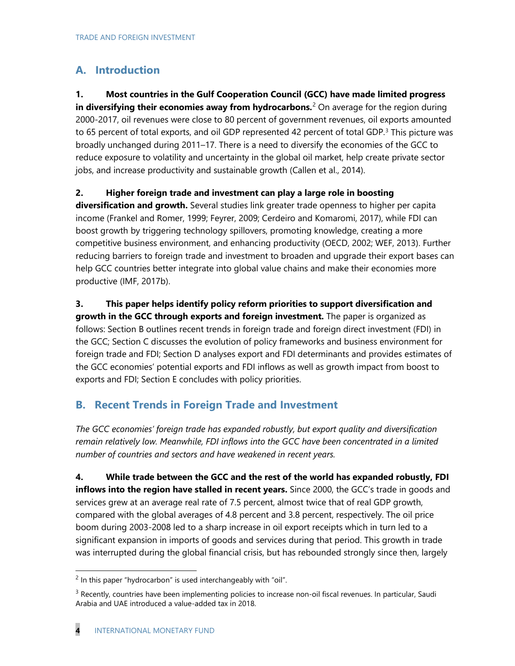### **A. Introduction**

**1. Most countries in the Gulf Cooperation Council (GCC) have made limited progress in diversifying their economies away from hydrocarbons.**<sup>[2](#page-3-0)</sup> On average for the region during 2000-2017, oil revenues were close to 80 percent of government revenues, oil exports amounted to 65 percent of total exports, and oil GDP represented 42 percent of total GDP.<sup>[3](#page-3-1)</sup> This picture was broadly unchanged during 2011–17. There is a need to diversify the economies of the GCC to reduce exposure to volatility and uncertainty in the global oil market, help create private sector jobs, and increase productivity and sustainable growth (Callen et al., 2014).

### **2. Higher foreign trade and investment can play a large role in boosting**

**diversification and growth.** Several studies link greater trade openness to higher per capita income (Frankel and Romer, 1999; Feyrer, 2009; Cerdeiro and Komaromi, 2017), while FDI can boost growth by triggering technology spillovers, promoting knowledge, creating a more competitive business environment, and enhancing productivity (OECD, 2002; WEF, 2013). Further reducing barriers to foreign trade and investment to broaden and upgrade their export bases can help GCC countries better integrate into global value chains and make their economies more productive (IMF, 2017b).

### **3. This paper helps identify policy reform priorities to support diversification and**

**growth in the GCC through exports and foreign investment.** The paper is organized as follows: Section B outlines recent trends in foreign trade and foreign direct investment (FDI) in the GCC; Section C discusses the evolution of policy frameworks and business environment for foreign trade and FDI; Section D analyses export and FDI determinants and provides estimates of the GCC economies' potential exports and FDI inflows as well as growth impact from boost to exports and FDI; Section E concludes with policy priorities.

### **B. Recent Trends in Foreign Trade and Investment**

*The GCC economies' foreign trade has expanded robustly, but export quality and diversification remain relatively low. Meanwhile, FDI inflows into the GCC have been concentrated in a limited number of countries and sectors and have weakened in recent years.*

**4. While trade between the GCC and the rest of the world has expanded robustly, FDI inflows into the region have stalled in recent years.** Since 2000, the GCC's trade in goods and services grew at an average real rate of 7.5 percent, almost twice that of real GDP growth, compared with the global averages of 4.8 percent and 3.8 percent, respectively. The oil price boom during 2003-2008 led to a sharp increase in oil export receipts which in turn led to a significant expansion in imports of goods and services during that period. This growth in trade was interrupted during the global financial crisis, but has rebounded strongly since then, largely

<span id="page-3-0"></span> $2$  In this paper "hydrocarbon" is used interchangeably with "oil".

<span id="page-3-1"></span> $3$  Recently, countries have been implementing policies to increase non-oil fiscal revenues. In particular, Saudi Arabia and UAE introduced a value-added tax in 2018.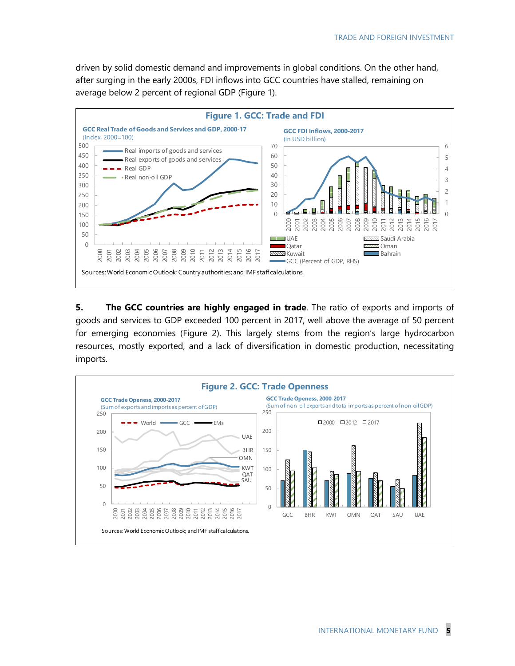driven by solid domestic demand and improvements in global conditions. On the other hand, after surging in the early 2000s, FDI inflows into GCC countries have stalled, remaining on average below 2 percent of regional GDP (Figure 1).



**5.** The GCC countries are highly engaged in trade. The ratio of exports and imports of goods and services to GDP exceeded 100 percent in 2017, well above the average of 50 percent for emerging economies (Figure 2). This largely stems from the region's large hydrocarbon resources, mostly exported, and a lack of diversification in domestic production, necessitating imports.

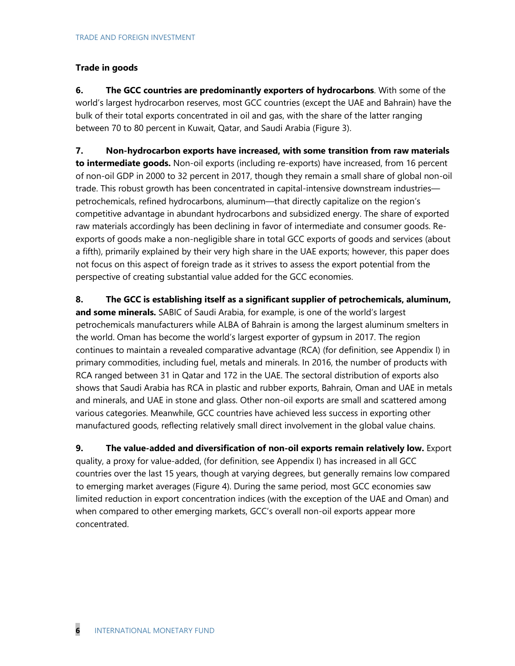### **Trade in goods**

**6. The GCC countries are predominantly exporters of hydrocarbons**. With some of the world's largest hydrocarbon reserves, most GCC countries (except the UAE and Bahrain) have the bulk of their total exports concentrated in oil and gas, with the share of the latter ranging between 70 to 80 percent in Kuwait, Qatar, and Saudi Arabia (Figure 3).

**7. Non-hydrocarbon exports have increased, with some transition from raw materials to intermediate goods.** Non-oil exports (including re-exports) have increased, from 16 percent of non-oil GDP in 2000 to 32 percent in 2017, though they remain a small share of global non-oil trade. This robust growth has been concentrated in capital-intensive downstream industries petrochemicals, refined hydrocarbons, aluminum—that directly capitalize on the region's competitive advantage in abundant hydrocarbons and subsidized energy. The share of exported raw materials accordingly has been declining in favor of intermediate and consumer goods. Reexports of goods make a non-negligible share in total GCC exports of goods and services (about a fifth), primarily explained by their very high share in the UAE exports; however, this paper does not focus on this aspect of foreign trade as it strives to assess the export potential from the perspective of creating substantial value added for the GCC economies.

**8. The GCC is establishing itself as a significant supplier of petrochemicals, aluminum, and some minerals.** SABIC of Saudi Arabia, for example, is one of the world's largest petrochemicals manufacturers while ALBA of Bahrain is among the largest aluminum smelters in the world. Oman has become the world's largest exporter of gypsum in 2017. The region continues to maintain a revealed comparative advantage (RCA) (for definition, see Appendix I) in primary commodities, including fuel, metals and minerals. In 2016, the number of products with RCA ranged between 31 in Qatar and 172 in the UAE. The sectoral distribution of exports also shows that Saudi Arabia has RCA in plastic and rubber exports, Bahrain, Oman and UAE in metals and minerals, and UAE in stone and glass. Other non-oil exports are small and scattered among various categories. Meanwhile, GCC countries have achieved less success in exporting other manufactured goods, reflecting relatively small direct involvement in the global value chains.

**9. The value-added and diversification of non-oil exports remain relatively low.** Export quality, a proxy for value-added, (for definition, see Appendix I) has increased in all GCC countries over the last 15 years, though at varying degrees, but generally remains low compared to emerging market averages (Figure 4). During the same period, most GCC economies saw limited reduction in export concentration indices (with the exception of the UAE and Oman) and when compared to other emerging markets, GCC's overall non-oil exports appear more concentrated.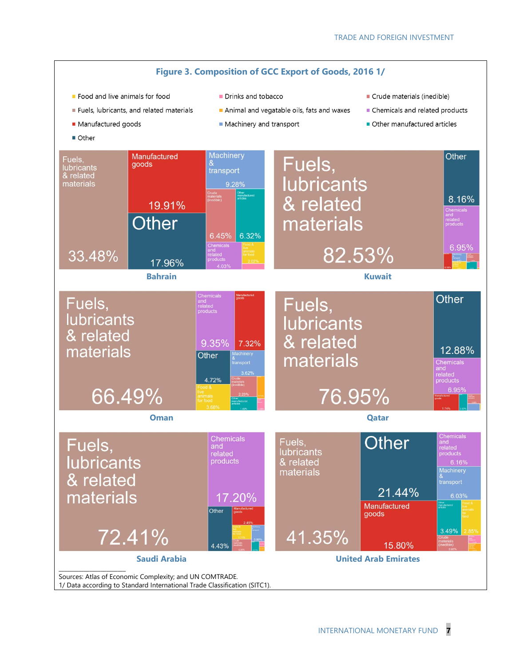

1/ Data according to Standard International Trade Classification (SITC1).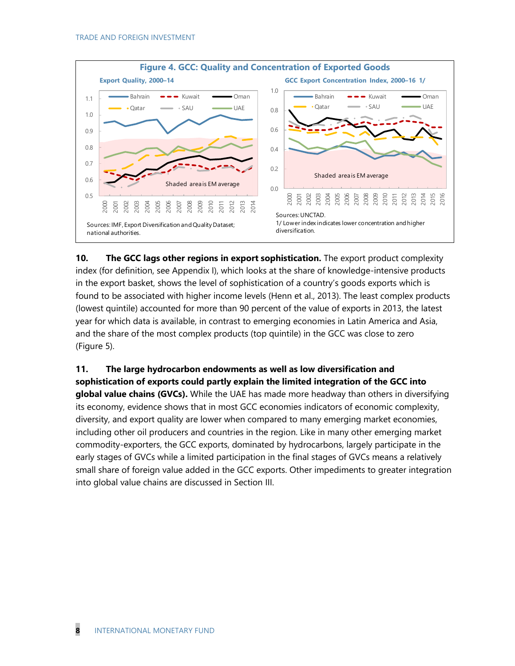

**10. The GCC lags other regions in export sophistication.** The export product complexity index (for definition, see Appendix I), which looks at the share of knowledge-intensive products in the export basket, shows the level of sophistication of a country's goods exports which is found to be associated with higher income levels (Henn et al., 2013). The least complex products (lowest quintile) accounted for more than 90 percent of the value of exports in 2013, the latest year for which data is available, in contrast to emerging economies in Latin America and Asia, and the share of the most complex products (top quintile) in the GCC was close to zero (Figure 5).

**11. The large hydrocarbon endowments as well as low diversification and sophistication of exports could partly explain the limited integration of the GCC into global value chains (GVCs).** While the UAE has made more headway than others in diversifying its economy, evidence shows that in most GCC economies indicators of economic complexity, diversity, and export quality are lower when compared to many emerging market economies, including other oil producers and countries in the region. Like in many other emerging market commodity-exporters, the GCC exports, dominated by hydrocarbons, largely participate in the early stages of GVCs while a limited participation in the final stages of GVCs means a relatively small share of foreign value added in the GCC exports. Other impediments to greater integration into global value chains are discussed in Section III.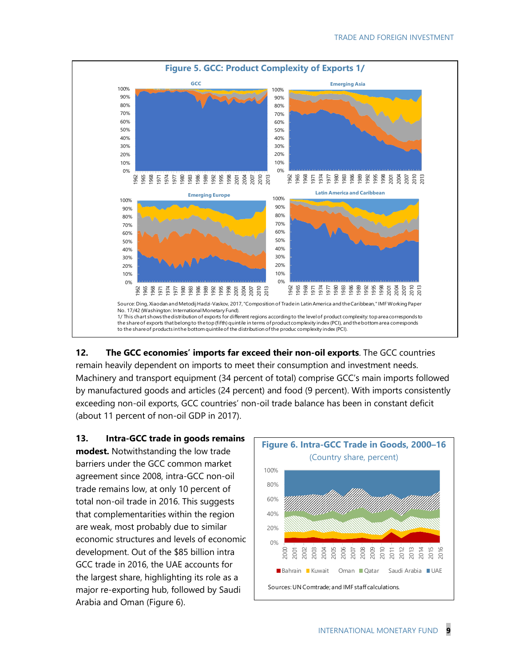

**12. The GCC economies' imports far exceed their non-oil exports**. The GCC countries remain heavily dependent on imports to meet their consumption and investment needs. Machinery and transport equipment (34 percent of total) comprise GCC's main imports followed by manufactured goods and articles (24 percent) and food (9 percent). With imports consistently exceeding non-oil exports, GCC countries' non-oil trade balance has been in constant deficit (about 11 percent of non-oil GDP in 2017).

**13. Intra-GCC trade in goods remains modest.** Notwithstanding the low trade barriers under the GCC common market agreement since 2008, intra-GCC non-oil trade remains low, at only 10 percent of total non-oil trade in 2016. This suggests that complementarities within the region are weak, most probably due to similar economic structures and levels of economic development. Out of the \$85 billion intra GCC trade in 2016, the UAE accounts for the largest share, highlighting its role as a major re-exporting hub, followed by Saudi Arabia and Oman (Figure 6).

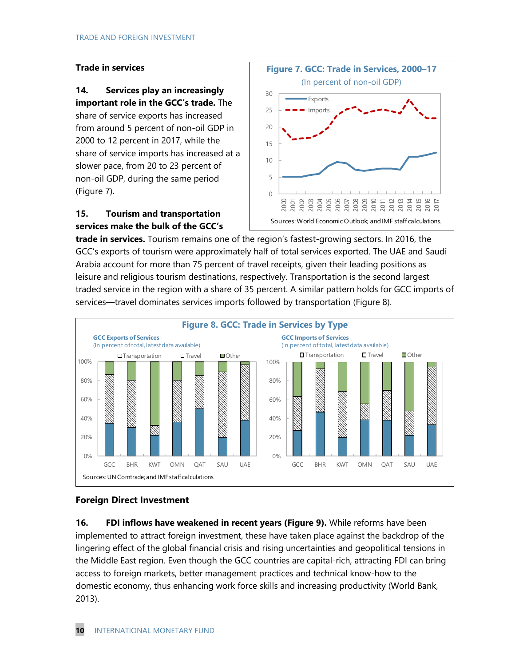### **Trade in services**

### **14. Services play an increasingly important role in the GCC's trade.** The

share of service exports has increased from around 5 percent of non-oil GDP in 2000 to 12 percent in 2017, while the share of service imports has increased at a slower pace, from 20 to 23 percent of non-oil GDP, during the same period (Figure 7).

### **15. Tourism and transportation services make the bulk of the GCC's**



**trade in services.** Tourism remains one of the region's fastest-growing sectors. In 2016, the GCC's exports of tourism were approximately half of total services exported. The UAE and Saudi Arabia account for more than 75 percent of travel receipts, given their leading positions as leisure and religious tourism destinations, respectively. Transportation is the second largest traded service in the region with a share of 35 percent. A similar pattern holds for GCC imports of services—travel dominates services imports followed by transportation (Figure 8).



### **Foreign Direct Investment**

**16. FDI inflows have weakened in recent years (Figure 9).** While reforms have been implemented to attract foreign investment, these have taken place against the backdrop of the lingering effect of the global financial crisis and rising uncertainties and geopolitical tensions in the Middle East region. Even though the GCC countries are capital-rich, attracting FDI can bring access to foreign markets, better management practices and technical know-how to the domestic economy, thus enhancing work force skills and increasing productivity (World Bank, 2013).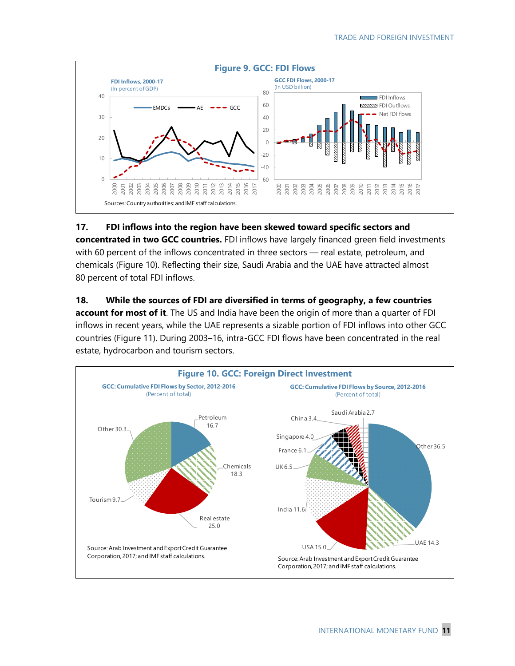

### **17. FDI inflows into the region have been skewed toward specific sectors and concentrated in two GCC countries.** FDI inflows have largely financed green field investments with 60 percent of the inflows concentrated in three sectors — real estate, petroleum, and chemicals (Figure 10). Reflecting their size, Saudi Arabia and the UAE have attracted almost 80 percent of total FDI inflows.

### **18. While the sources of FDI are diversified in terms of geography, a few countries account for most of it**. The US and India have been the origin of more than a quarter of FDI inflows in recent years, while the UAE represents a sizable portion of FDI inflows into other GCC countries (Figure 11). During 2003–16, intra-GCC FDI flows have been concentrated in the real

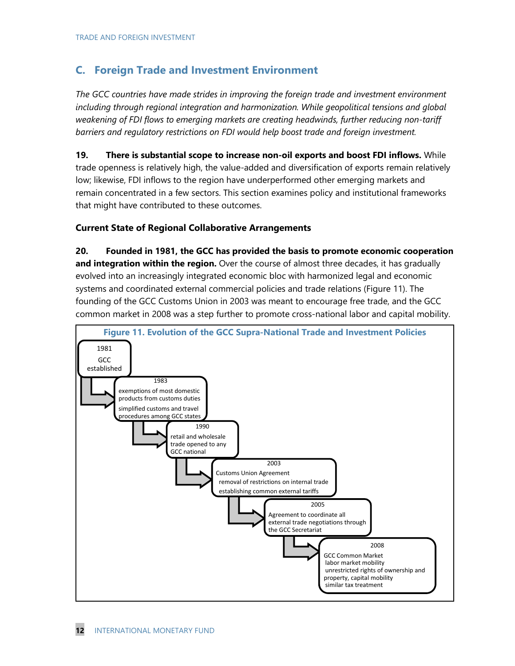### **C. Foreign Trade and Investment Environment**

*The GCC countries have made strides in improving the foreign trade and investment environment including through regional integration and harmonization. While geopolitical tensions and global weakening of FDI flows to emerging markets are creating headwinds, further reducing non-tariff barriers and regulatory restrictions on FDI would help boost trade and foreign investment.*

**19. There is substantial scope to increase non-oil exports and boost FDI inflows.** While trade openness is relatively high, the value-added and diversification of exports remain relatively low; likewise, FDI inflows to the region have underperformed other emerging markets and remain concentrated in a few sectors. This section examines policy and institutional frameworks that might have contributed to these outcomes.

### **Current State of Regional Collaborative Arrangements**

**20. Founded in 1981, the GCC has provided the basis to promote economic cooperation and integration within the region.** Over the course of almost three decades, it has gradually evolved into an increasingly integrated economic bloc with harmonized legal and economic systems and coordinated external commercial policies and trade relations (Figure 11). The founding of the GCC Customs Union in 2003 was meant to encourage free trade, and the GCC common market in 2008 was a step further to promote cross-national labor and capital mobility.

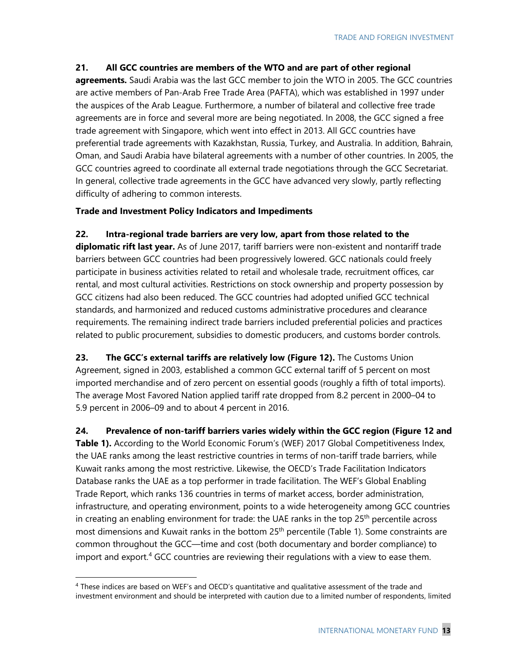### **21. All GCC countries are members of the WTO and are part of other regional**

**agreements.** Saudi Arabia was the last GCC member to join the WTO in 2005. The GCC countries are active members of Pan-Arab Free Trade Area (PAFTA), which was established in 1997 under the auspices of the Arab League. Furthermore, a number of bilateral and collective free trade agreements are in force and several more are being negotiated. In 2008, the GCC signed a free trade agreement with Singapore, which went into effect in 2013. All GCC countries have preferential trade agreements with Kazakhstan, Russia, Turkey, and Australia. In addition, Bahrain, Oman, and Saudi Arabia have bilateral agreements with a number of other countries. In 2005, the GCC countries agreed to coordinate all external trade negotiations through the GCC Secretariat. In general, collective trade agreements in the GCC have advanced very slowly, partly reflecting difficulty of adhering to common interests.

### **Trade and Investment Policy Indicators and Impediments**

### **22. Intra-regional trade barriers are very low, apart from those related to the**

**diplomatic rift last year.** As of June 2017, tariff barriers were non-existent and nontariff trade barriers between GCC countries had been progressively lowered. GCC nationals could freely participate in business activities related to retail and wholesale trade, recruitment offices, car rental, and most cultural activities. Restrictions on stock ownership and property possession by GCC citizens had also been reduced. The GCC countries had adopted unified GCC technical standards, and harmonized and reduced customs administrative procedures and clearance requirements. The remaining indirect trade barriers included preferential policies and practices related to public procurement, subsidies to domestic producers, and customs border controls.

**23. The GCC's external tariffs are relatively low (Figure 12).** The Customs Union Agreement, signed in 2003, established a common GCC external tariff of 5 percent on most imported merchandise and of zero percent on essential goods (roughly a fifth of total imports). The average Most Favored Nation applied tariff rate dropped from 8.2 percent in 2000–04 to 5.9 percent in 2006–09 and to about 4 percent in 2016.

**24. Prevalence of non-tariff barriers varies widely within the GCC region (Figure 12 and**  Table 1). According to the World Economic Forum's (WEF) 2017 Global Competitiveness Index, the UAE ranks among the least restrictive countries in terms of non-tariff trade barriers, while Kuwait ranks among the most restrictive. Likewise, the OECD's Trade Facilitation Indicators Database ranks the UAE as a top performer in trade facilitation. The WEF's Global Enabling Trade Report, which ranks 136 countries in terms of market access, border administration, infrastructure, and operating environment, points to a wide heterogeneity among GCC countries in creating an enabling environment for trade: the UAE ranks in the top  $25<sup>th</sup>$  percentile across most dimensions and Kuwait ranks in the bottom 25<sup>th</sup> percentile (Table 1). Some constraints are common throughout the GCC—time and cost (both documentary and border compliance) to import and export.<sup>[4](#page-12-0)</sup> GCC countries are reviewing their regulations with a view to ease them.

<span id="page-12-0"></span> <sup>4</sup> These indices are based on WEF's and OECD's quantitative and qualitative assessment of the trade and investment environment and should be interpreted with caution due to a limited number of respondents, limited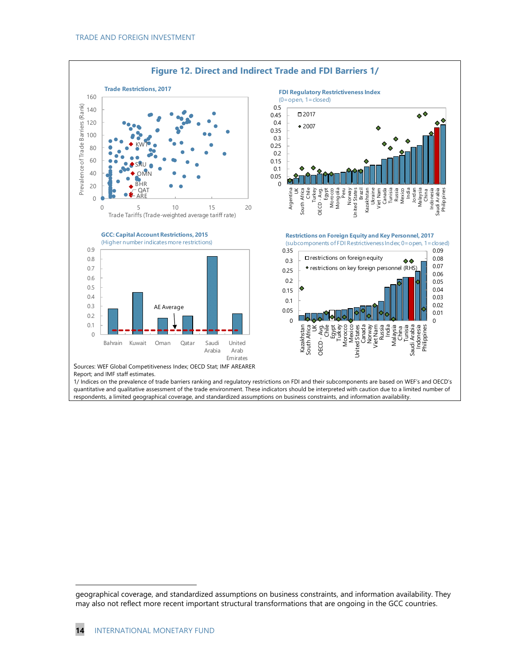

l

geographical coverage, and standardized assumptions on business constraints, and information availability. They may also not reflect more recent important structural transformations that are ongoing in the GCC countries.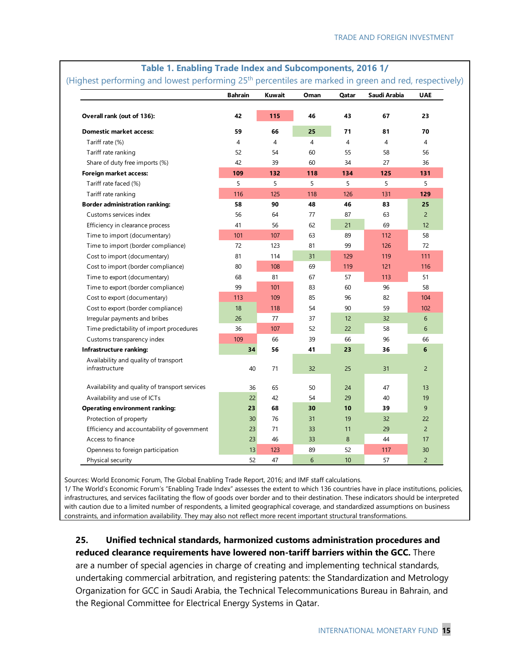|                                                         | <b>Bahrain</b> | Kuwait | Oman           | Qatar          | Saudi Arabia | <b>UAE</b>     |
|---------------------------------------------------------|----------------|--------|----------------|----------------|--------------|----------------|
| Overall rank (out of 136):                              | 42             | 115    | 46             | 43             | 67           | 23             |
| <b>Domestic market access:</b>                          | 59             | 66     | 25             | 71             | 81           | 70             |
| Tariff rate (%)                                         | $\overline{4}$ | 4      | $\overline{4}$ | $\overline{4}$ | 4            | 4              |
| Tariff rate ranking                                     | 52             | 54     | 60             | 55             | 58           | 56             |
| Share of duty free imports (%)                          | 42             | 39     | 60             | 34             | 27           | 36             |
| Foreign market access:                                  | 109            | 132    | 118            | 134            | 125          | 131            |
| Tariff rate faced (%)                                   | 5              | 5      | 5              | 5              | 5            | 5              |
| Tariff rate ranking                                     | 116            | 125    | 118            | 126            | 131          | 129            |
| <b>Border administration ranking:</b>                   | 58             | 90     | 48             | 46             | 83           | 25             |
| Customs services index                                  | 56             | 64     | 77             | 87             | 63           | $\overline{2}$ |
| Efficiency in clearance process                         | 41             | 56     | 62             | 21             | 69           | 12             |
| Time to import (documentary)                            | 101            | 107    | 63             | 89             | 112          | 58             |
| Time to import (border compliance)                      | 72             | 123    | 81             | 99             | 126          | 72             |
| Cost to import (documentary)                            | 81             | 114    | 31             | 129            | 119          | 111            |
| Cost to import (border compliance)                      | 80             | 108    | 69             | 119            | 121          | 116            |
| Time to export (documentary)                            | 68             | 81     | 67             | 57             | 113          | 51             |
| Time to export (border compliance)                      | 99             | 101    | 83             | 60             | 96           | 58             |
| Cost to export (documentary)                            | 113            | 109    | 85             | 96             | 82           | 104            |
| Cost to export (border compliance)                      | 18             | 118    | 54             | 90             | 59           | 102            |
| Irregular payments and bribes                           | 26             | 77     | 37             | 12             | 32           | 6              |
| Time predictability of import procedures                | 36             | 107    | 52             | 22             | 58           | 6              |
| Customs transparency index                              | 109            | 66     | 39             | 66             | 96           | 66             |
| Infrastructure ranking:                                 | 34             | 56     | 41             | 23             | 36           | 6              |
| Availability and quality of transport<br>infrastructure | 40             | 71     | 32             | 25             | 31           | $\overline{c}$ |
| Availability and quality of transport services          | 36             | 65     | 50             | 24             | 47           | 13             |
| Availability and use of ICTs                            | 22             | 42     | 54             | 29             | 40           | 19             |
| <b>Operating environment ranking:</b>                   | 23             | 68     | 30             | 10             | 39           | 9              |
| Protection of property                                  | 30             | 76     | 31             | 19             | 32           | 22             |
| Efficiency and accountability of government             | 23             | 71     | 33             | 11             | 29           | $\overline{2}$ |
| Access to finance                                       | 23             | 46     | 33             | 8              | 44           | 17             |
| Openness to foreign participation                       | 13             | 123    | 89             | 52             | 117          | 30             |
| Physical security                                       | 52             | 47     | 6              | 10             | 57           | $\overline{2}$ |

### **Table 1. Enabling Trade Index and Subcomponents, 2016 1/**

Sources: World Economic Forum, The Global Enabling Trade Report, 2016; and IMF staff calculations.

1/ The World's Economic Forum's "Enabling Trade Index" assesses the extent to which 136 countries have in place institutions, policies, infrastructures, and services facilitating the flow of goods over border and to their destination. These indicators should be interpreted with caution due to a limited number of respondents, a limited geographical coverage, and standardized assumptions on business in the precedition of the precedition of the precedition of the preceditions on business on bus constraints, and information availability. They may also not reflect more recent important structural transformations.

### **25. Unified technical standards, harmonized customs administration procedures and reduced clearance requirements have lowered non-tariff barriers within the GCC.** There

are a number of special agencies in charge of creating and implementing technical standards, undertaking commercial arbitration, and registering patents: the Standardization and Metrology Organization for GCC in Saudi Arabia, the Technical Telecommunications Bureau in Bahrain, and the Regional Committee for Electrical Energy Systems in Qatar.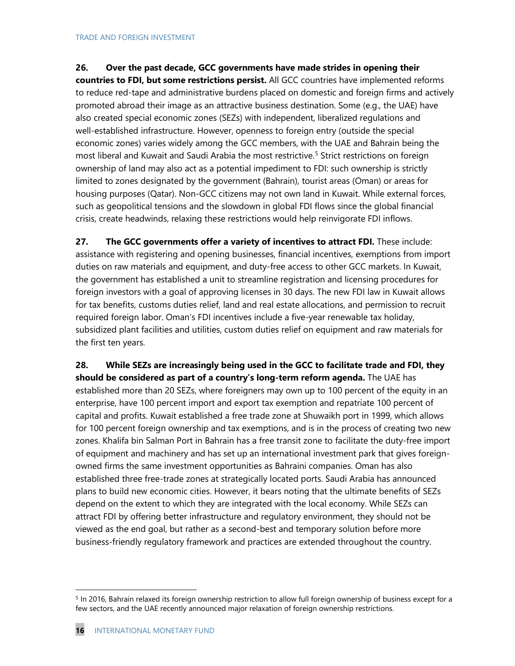### **26. Over the past decade, GCC governments have made strides in opening their**

**countries to FDI, but some restrictions persist.** All GCC countries have implemented reforms to reduce red-tape and administrative burdens placed on domestic and foreign firms and actively promoted abroad their image as an attractive business destination. Some (e.g., the UAE) have also created special economic zones (SEZs) with independent, liberalized regulations and well-established infrastructure. However, openness to foreign entry (outside the special economic zones) varies widely among the GCC members, with the UAE and Bahrain being the most liberal and Kuwait and Saudi Arabia the most restrictive.<sup>[5](#page-15-0)</sup> Strict restrictions on foreign ownership of land may also act as a potential impediment to FDI: such ownership is strictly limited to zones designated by the government (Bahrain), tourist areas (Oman) or areas for housing purposes (Qatar). Non-GCC citizens may not own land in Kuwait. While external forces, such as geopolitical tensions and the slowdown in global FDI flows since the global financial crisis, create headwinds, relaxing these restrictions would help reinvigorate FDI inflows.

**27. The GCC governments offer a variety of incentives to attract FDI.** These include: assistance with registering and opening businesses, financial incentives, exemptions from import duties on raw materials and equipment, and duty-free access to other GCC markets. In Kuwait, the government has established a unit to streamline registration and licensing procedures for foreign investors with a goal of approving licenses in 30 days. The new FDI law in Kuwait allows for tax benefits, customs duties relief, land and real estate allocations, and permission to recruit required foreign labor. Oman's FDI incentives include a five-year renewable tax holiday, subsidized plant facilities and utilities, custom duties relief on equipment and raw materials for the first ten years.

**28. While SEZs are increasingly being used in the GCC to facilitate trade and FDI, they should be considered as part of a country's long-term reform agenda.** The UAE has established more than 20 SEZs, where foreigners may own up to 100 percent of the equity in an enterprise, have 100 percent import and export tax exemption and repatriate 100 percent of capital and profits. Kuwait established a free trade zone at Shuwaikh port in 1999, which allows for 100 percent foreign ownership and tax exemptions, and is in the process of creating two new zones. Khalifa bin Salman Port in Bahrain has a free transit zone to facilitate the duty-free import of equipment and machinery and has set up an international investment park that gives foreignowned firms the same investment opportunities as Bahraini companies. Oman has also established three free-trade zones at strategically located ports. Saudi Arabia has announced plans to build new economic cities. However, it bears noting that the ultimate benefits of SEZs depend on the extent to which they are integrated with the local economy. While SEZs can attract FDI by offering better infrastructure and regulatory environment, they should not be viewed as the end goal, but rather as a second-best and temporary solution before more business-friendly regulatory framework and practices are extended throughout the country.

<span id="page-15-0"></span><sup>&</sup>lt;sup>5</sup> In 2016, Bahrain relaxed its foreign ownership restriction to allow full foreign ownership of business except for a few sectors, and the UAE recently announced major relaxation of foreign ownership restrictions.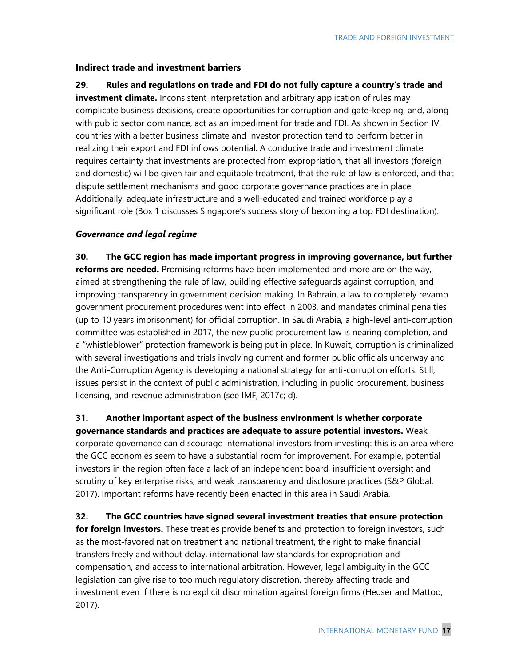### **Indirect trade and investment barriers**

**29. Rules and regulations on trade and FDI do not fully capture a country's trade and investment climate.** Inconsistent interpretation and arbitrary application of rules may complicate business decisions, create opportunities for corruption and gate-keeping, and, along with public sector dominance, act as an impediment for trade and FDI. As shown in Section IV, countries with a better business climate and investor protection tend to perform better in realizing their export and FDI inflows potential. A conducive trade and investment climate requires certainty that investments are protected from expropriation, that all investors (foreign and domestic) will be given fair and equitable treatment, that the rule of law is enforced, and that dispute settlement mechanisms and good corporate governance practices are in place. Additionally, adequate infrastructure and a well-educated and trained workforce play a significant role (Box 1 discusses Singapore's success story of becoming a top FDI destination).

### *Governance and legal regime*

**30. The GCC region has made important progress in improving governance, but further reforms are needed.** Promising reforms have been implemented and more are on the way, aimed at strengthening the rule of law, building effective safeguards against corruption, and improving transparency in government decision making. In Bahrain, a law to completely revamp government procurement procedures went into effect in 2003, and mandates criminal penalties (up to 10 years imprisonment) for official corruption. In Saudi Arabia, a high-level anti-corruption committee was established in 2017, the new public procurement law is nearing completion, and a "whistleblower" protection framework is being put in place. In Kuwait, corruption is criminalized with several investigations and trials involving current and former public officials underway and the Anti-Corruption Agency is developing a national strategy for anti-corruption efforts. Still, issues persist in the context of public administration, including in public procurement, business licensing, and revenue administration (see IMF, 2017c; d).

**31. Another important aspect of the business environment is whether corporate governance standards and practices are adequate to assure potential investors.** Weak corporate governance can discourage international investors from investing: this is an area where the GCC economies seem to have a substantial room for improvement. For example, potential investors in the region often face a lack of an independent board, insufficient oversight and scrutiny of key enterprise risks, and weak transparency and disclosure practices (S&P Global, 2017). Important reforms have recently been enacted in this area in Saudi Arabia.

**32. The GCC countries have signed several investment treaties that ensure protection for foreign investors.** These treaties provide benefits and protection to foreign investors, such as the most-favored nation treatment and national treatment, the right to make financial transfers freely and without delay, international law standards for expropriation and compensation, and access to international arbitration. However, legal ambiguity in the GCC legislation can give rise to too much regulatory discretion, thereby affecting trade and investment even if there is no explicit discrimination against foreign firms (Heuser and Mattoo, 2017).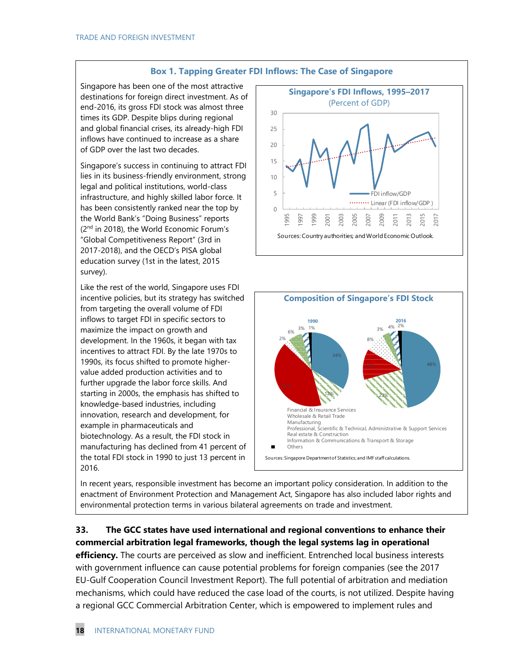

Singapore has been one of the most attractive destinations for foreign direct investment. As of end-2016, its gross FDI stock was almost three times its GDP. Despite blips during regional and global financial crises, its already-high FDI inflows have continued to increase as a share of GDP over the last two decades.

Singapore's success in continuing to attract FDI lies in its business-friendly environment, strong legal and political institutions, world-class infrastructure, and highly skilled labor force. It has been consistently ranked near the top by the World Bank's "Doing Business" reports (2<sup>nd</sup> in 2018), the World Economic Forum's "Global Competitiveness Report" (3rd in 2017-2018), and the OECD's PISA global education survey (1st in the latest, 2015 survey).

Like the rest of the world, Singapore uses FDI incentive policies, but its strategy has switched from targeting the overall volume of FDI inflows to target FDI in specific sectors to maximize the impact on growth and development. In the 1960s, it began with tax incentives to attract FDI. By the late 1970s to 1990s, its focus shifted to promote highervalue added production activities and to further upgrade the labor force skills. And starting in 2000s, the emphasis has shifted to knowledge-based industries, including innovation, research and development, for example in pharmaceuticals and biotechnology. As a result, the FDI stock in manufacturing has declined from 41 percent of the total FDI stock in 1990 to just 13 percent in 2016.

In recent years, responsible investment has become an important policy consideration. In addition to the enactment of Environment Protection and Management Act, Singapore has also included labor rights and environmental protection terms in various bilateral agreements on trade and investment.

### **33. The GCC states have used international and regional conventions to enhance their commercial arbitration legal frameworks, though the legal systems lag in operational**

**efficiency.** The courts are perceived as slow and inefficient. Entrenched local business interests with government influence can cause potential problems for foreign companies (see the 2017 EU-Gulf Cooperation Council Investment Report). The full potential of arbitration and mediation mechanisms, which could have reduced the case load of the courts, is not utilized. Despite having a regional GCC Commercial Arbitration Center, which is empowered to implement rules and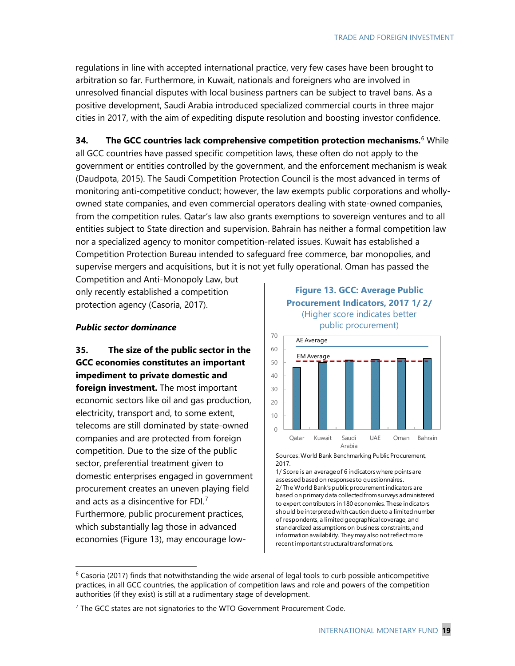regulations in line with accepted international practice, very few cases have been brought to arbitration so far. Furthermore, in Kuwait, nationals and foreigners who are involved in unresolved financial disputes with local business partners can be subject to travel bans. As a positive development, Saudi Arabia introduced specialized commercial courts in three major cities in 2017, with the aim of expediting dispute resolution and boosting investor confidence.

**34. The GCC countries lack comprehensive competition protection mechanisms.**[6](#page-18-0) While all GCC countries have passed specific competition laws, these often do not apply to the government or entities controlled by the government, and the enforcement mechanism is weak (Daudpota, 2015). The Saudi Competition Protection Council is the most advanced in terms of monitoring anti-competitive conduct; however, the law exempts public corporations and whollyowned state companies, and even commercial operators dealing with state-owned companies, from the competition rules. Qatar's law also grants exemptions to sovereign ventures and to all entities subject to State direction and supervision. Bahrain has neither a formal competition law nor a specialized agency to monitor competition-related issues. Kuwait has established a Competition Protection Bureau intended to safeguard free commerce, bar monopolies, and supervise mergers and acquisitions, but it is not yet fully operational. Oman has passed the

Competition and Anti-Monopoly Law, but only recently established a competition protection agency (Casoria, 2017).

#### *Public sector dominance*

**35. The size of the public sector in the GCC economies constitutes an important impediment to private domestic and foreign investment.** The most important economic sectors like oil and gas production, electricity, transport and, to some extent, telecoms are still dominated by state-owned companies and are protected from foreign competition. Due to the size of the public sector, preferential treatment given to domestic enterprises engaged in government procurement creates an uneven playing field and acts as a disincentive for FDI. $<sup>7</sup>$  $<sup>7</sup>$  $<sup>7</sup>$ </sup> Furthermore, public procurement practices, which substantially lag those in advanced economies (Figure 13), may encourage low-



<span id="page-18-0"></span> $6$  Casoria (2017) finds that notwithstanding the wide arsenal of legal tools to curb possible anticompetitive practices, in all GCC countries, the application of competition laws and role and powers of the competition authorities (if they exist) is still at a rudimentary stage of development.

<span id="page-18-1"></span> $7$  The GCC states are not signatories to the WTO Government Procurement Code.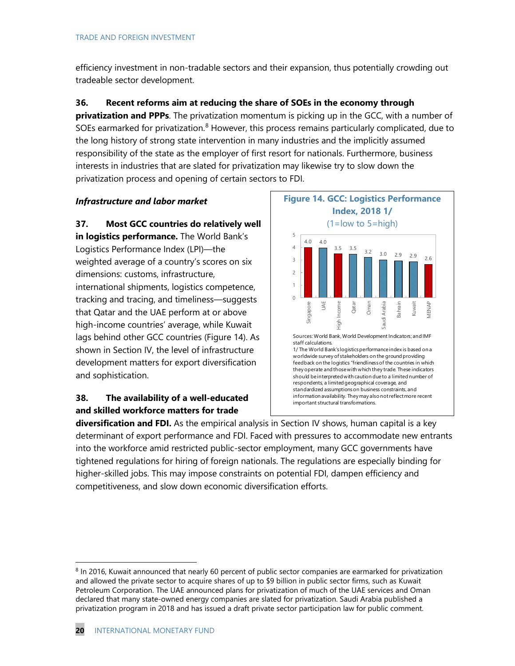efficiency investment in non-tradable sectors and their expansion, thus potentially crowding out tradeable sector development.

**36. Recent reforms aim at reducing the share of SOEs in the economy through** 

**privatization and PPPs**. The privatization momentum is picking up in the GCC, with a number of SOEs earmarked for privatization.<sup>[8](#page-19-0)</sup> However, this process remains particularly complicated, due to the long history of strong state intervention in many industries and the implicitly assumed responsibility of the state as the employer of first resort for nationals. Furthermore, business interests in industries that are slated for privatization may likewise try to slow down the privatization process and opening of certain sectors to FDI.

### *Infrastructure and labor market*

**37. Most GCC countries do relatively well in logistics performance.** The World Bank's Logistics Performance Index (LPI)—the weighted average of a country's scores on six dimensions: customs, infrastructure, international shipments, logistics competence, tracking and tracing, and timeliness—suggests that Qatar and the UAE perform at or above high-income countries' average, while Kuwait lags behind other GCC countries (Figure 14). As shown in Section IV, the level of infrastructure development matters for export diversification and sophistication.

### **38. The availability of a well-educated and skilled workforce matters for trade**



**diversification and FDI.** As the empirical analysis in Section IV shows, human capital is a key determinant of export performance and FDI. Faced with pressures to accommodate new entrants into the workforce amid restricted public-sector employment, many GCC governments have tightened regulations for hiring of foreign nationals. The regulations are especially binding for higher-skilled jobs. This may impose constraints on potential FDI, dampen efficiency and competitiveness, and slow down economic diversification efforts.

<span id="page-19-0"></span><sup>&</sup>lt;sup>8</sup> In 2016, Kuwait announced that nearly 60 percent of public sector companies are earmarked for privatization and allowed the private sector to acquire shares of up to \$9 billion in public sector firms, such as Kuwait Petroleum Corporation. The UAE announced plans for privatization of much of the UAE services and Oman declared that many state-owned energy companies are slated for privatization. Saudi Arabia published a privatization program in 2018 and has issued a draft private sector participation law for public comment.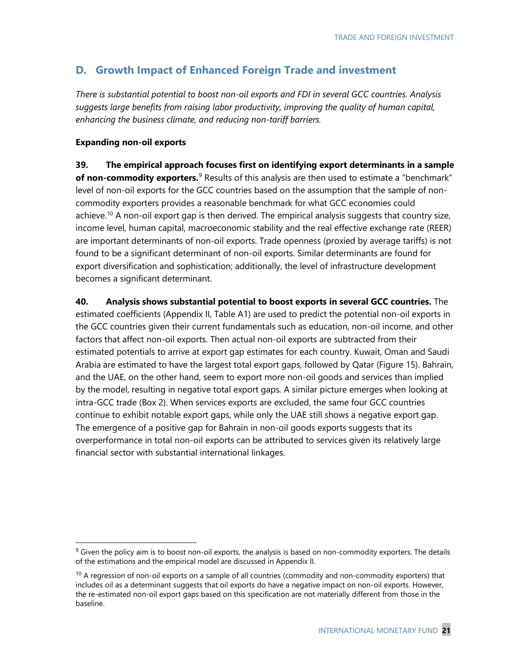### **D. Growth Impact of Enhanced Foreign Trade and investment**

*There is substantial potential to boost non-oil exports and FDI in several GCC countries. Analysis suggests large benefits from raising labor productivity, improving the quality of human capital, enhancing the business climate, and reducing non-tariff barriers.*

### **Expanding non-oil exports**

**39. The empirical approach focuses first on identifying export determinants in a sample**  of non-commodity exporters.<sup>[9](#page-20-0)</sup> Results of this analysis are then used to estimate a "benchmark" level of non-oil exports for the GCC countries based on the assumption that the sample of noncommodity exporters provides a reasonable benchmark for what GCC economies could achieve.<sup>10</sup> A non-oil export gap is then derived. The empirical analysis suggests that country size, income level, human capital, macroeconomic stability and the real effective exchange rate (REER) are important determinants of non-oil exports. Trade openness (proxied by average tariffs) is not found to be a significant determinant of non-oil exports. Similar determinants are found for export diversification and sophistication; additionally, the level of infrastructure development becomes a significant determinant.

**40. Analysis shows substantial potential to boost exports in several GCC countries.** The estimated coefficients (Appendix II, Table A1) are used to predict the potential non-oil exports in the GCC countries given their current fundamentals such as education, non-oil income, and other factors that affect non-oil exports. Then actual non-oil exports are subtracted from their estimated potentials to arrive at export gap estimates for each country. Kuwait, Oman and Saudi Arabia are estimated to have the largest total export gaps, followed by Qatar (Figure 15). Bahrain, and the UAE, on the other hand, seem to export more non-oil goods and services than implied by the model, resulting in negative total export gaps. A similar picture emerges when looking at intra-GCC trade (Box 2). When services exports are excluded, the same four GCC countries continue to exhibit notable export gaps, while only the UAE still shows a negative export gap. The emergence of a positive gap for Bahrain in non-oil goods exports suggests that its overperformance in total non-oil exports can be attributed to services given its relatively large financial sector with substantial international linkages.

<span id="page-20-0"></span> $9$  Given the policy aim is to boost non-oil exports, the analysis is based on non-commodity exporters. The details of the estimations and the empirical model are discussed in Appendix II.

<span id="page-20-1"></span> $10$  A regression of non-oil exports on a sample of all countries (commodity and non-commodity exporters) that includes oil as a determinant suggests that oil exports do have a negative impact on non-oil exports. However, the re-estimated non-oil export gaps based on this specification are not materially different from those in the baseline.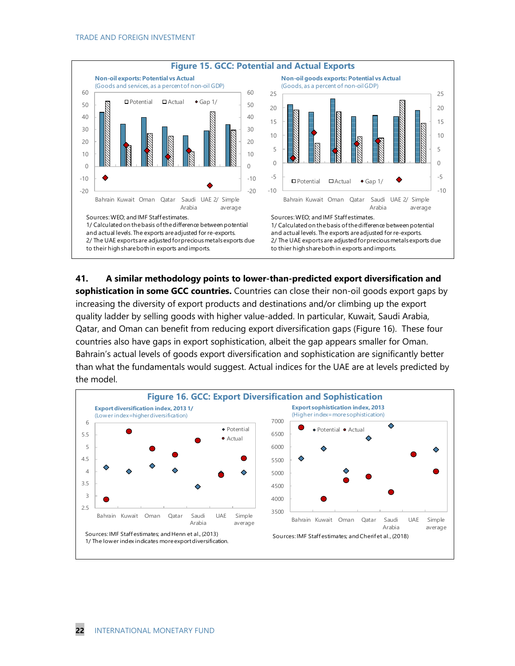

**41. A similar methodology points to lower-than-predicted export diversification and sophistication in some GCC countries.** Countries can close their non-oil goods export gaps by increasing the diversity of export products and destinations and/or climbing up the export quality ladder by selling goods with higher value-added. In particular, Kuwait, Saudi Arabia, Qatar, and Oman can benefit from reducing export diversification gaps (Figure 16). These four countries also have gaps in export sophistication, albeit the gap appears smaller for Oman. Bahrain's actual levels of goods export diversification and sophistication are significantly better than what the fundamentals would suggest. Actual indices for the UAE are at levels predicted by the model.

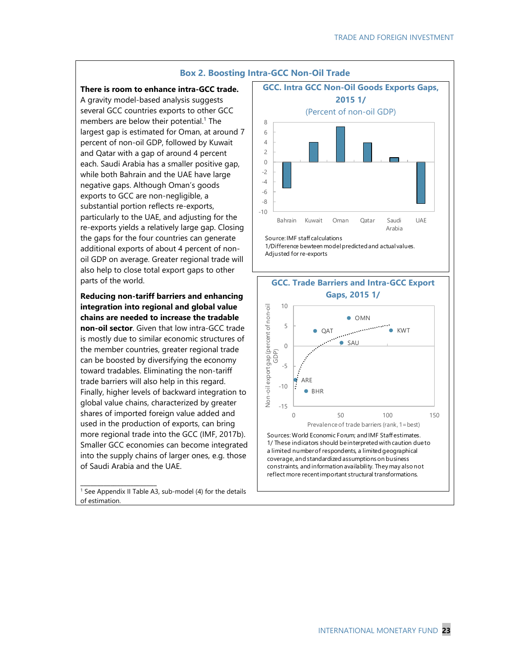

#### **There is room to enhance intra-GCC trade.**

A gravity model-based analysis suggests several GCC countries exports to other GCC members are below their potential. <sup>1</sup> The largest gap is estimated for Oman, at around 7 percent of non-oil GDP, followed by Kuwait and Qatar with a gap of around 4 percent each. Saudi Arabia has a smaller positive gap, while both Bahrain and the UAE have large negative gaps. Although Oman's goods exports to GCC are non-negligible, a substantial portion reflects re-exports, particularly to the UAE, and adjusting for the re-exports yields a relatively large gap. Closing the gaps for the four countries can generate additional exports of about 4 percent of nonoil GDP on average. Greater regional trade will also help to close total export gaps to other parts of the world.

**Reducing non-tariff barriers and enhancing integration into regional and global value chains are needed to increase the tradable non-oil sector**. Given that low intra-GCC trade is mostly due to similar economic structures of the member countries, greater regional trade can be boosted by diversifying the economy toward tradables. Eliminating the non-tariff trade barriers will also help in this regard. Finally, higher levels of backward integration to global value chains, characterized by greater shares of imported foreign value added and used in the production of exports, can bring more regional trade into the GCC (IMF, 2017b). Smaller GCC economies can become integrated into the supply chains of larger ones, e.g. those of Saudi Arabia and the UAE.

 $1$  See Appendix II Table A3, sub-model (4) for the details of estimation.

\_\_\_\_\_\_\_\_\_\_\_\_\_\_\_\_\_\_\_\_\_\_\_

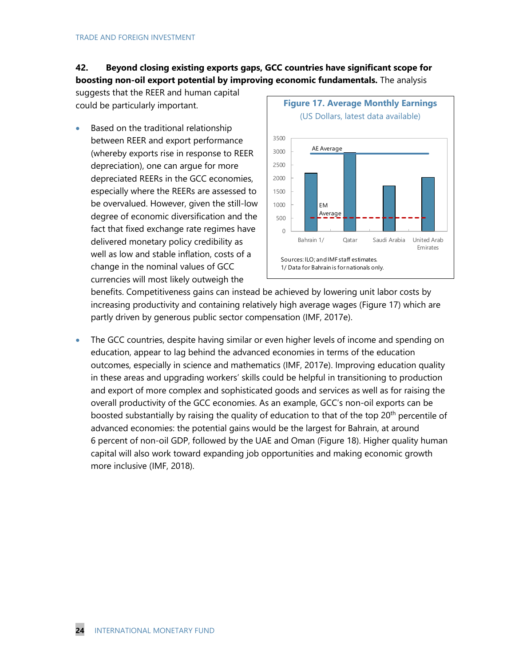### **42. Beyond closing existing exports gaps, GCC countries have significant scope for boosting non-oil export potential by improving economic fundamentals.** The analysis

suggests that the REER and human capital could be particularly important.

• Based on the traditional relationship between REER and export performance (whereby exports rise in response to REER depreciation), one can argue for more depreciated REERs in the GCC economies, especially where the REERs are assessed to be overvalued. However, given the still-low degree of economic diversification and the fact that fixed exchange rate regimes have delivered monetary policy credibility as well as low and stable inflation, costs of a change in the nominal values of GCC currencies will most likely outweigh the



benefits. Competitiveness gains can instead be achieved by lowering unit labor costs by increasing productivity and containing relatively high average wages (Figure 17) which are partly driven by generous public sector compensation (IMF, 2017e).

• The GCC countries, despite having similar or even higher levels of income and spending on education, appear to lag behind the advanced economies in terms of the education outcomes, especially in science and mathematics (IMF, 2017e). Improving education quality in these areas and upgrading workers' skills could be helpful in transitioning to production and export of more complex and sophisticated goods and services as well as for raising the overall productivity of the GCC economies. As an example, GCC's non-oil exports can be boosted substantially by raising the quality of education to that of the top 20<sup>th</sup> percentile of advanced economies: the potential gains would be the largest for Bahrain, at around 6 percent of non-oil GDP, followed by the UAE and Oman (Figure 18). Higher quality human capital will also work toward expanding job opportunities and making economic growth more inclusive (IMF, 2018).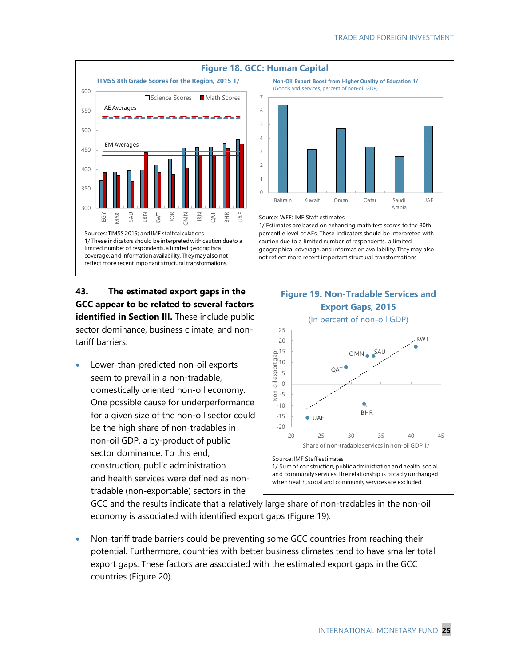

### **43. The estimated export gaps in the GCC appear to be related to several factors identified in Section III.** These include public sector dominance, business climate, and nontariff barriers.

• Lower-than-predicted non-oil exports seem to prevail in a non-tradable, domestically oriented non-oil economy. One possible cause for underperformance for a given size of the non-oil sector could be the high share of non-tradables in non-oil GDP, a by-product of public sector dominance. To this end, construction, public administration and health services were defined as nontradable (non-exportable) sectors in the



#### Source: WEF; IMF Staff estimates.

1/ Estimates are based on enhancing math test scores to the 80th percentlie level of AEs. These indicators should be interpreted with caution due to a limited number of respondents, a limited geographical coverage, and information availability. They may also not reflect more recent important structural transformations.



GCC and the results indicate that a relatively large share of non-tradables in the non-oil economy is associated with identified export gaps (Figure 19).

• Non-tariff trade barriers could be preventing some GCC countries from reaching their potential. Furthermore, countries with better business climates tend to have smaller total export gaps. These factors are associated with the estimated export gaps in the GCC countries (Figure 20).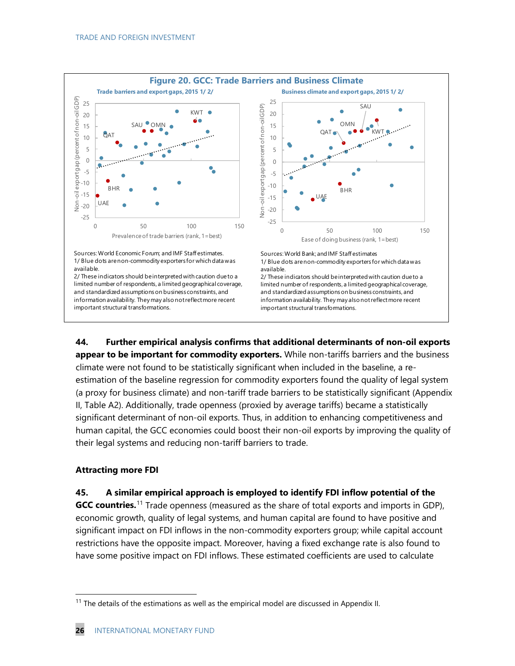

**44. Further empirical analysis confirms that additional determinants of non-oil exports appear to be important for commodity exporters.** While non-tariffs barriers and the business climate were not found to be statistically significant when included in the baseline, a reestimation of the baseline regression for commodity exporters found the quality of legal system (a proxy for business climate) and non-tariff trade barriers to be statistically significant (Appendix II, Table A2). Additionally, trade openness (proxied by average tariffs) became a statistically significant determinant of non-oil exports. Thus, in addition to enhancing competitiveness and human capital, the GCC economies could boost their non-oil exports by improving the quality of their legal systems and reducing non-tariff barriers to trade.

### **Attracting more FDI**

### **45. A similar empirical approach is employed to identify FDI inflow potential of the**

**GCC countries.**[11](#page-25-0) Trade openness (measured as the share of total exports and imports in GDP), economic growth, quality of legal systems, and human capital are found to have positive and significant impact on FDI inflows in the non-commodity exporters group; while capital account restrictions have the opposite impact. Moreover, having a fixed exchange rate is also found to have some positive impact on FDI inflows. These estimated coefficients are used to calculate

<span id="page-25-0"></span> $11$  The details of the estimations as well as the empirical model are discussed in Appendix II.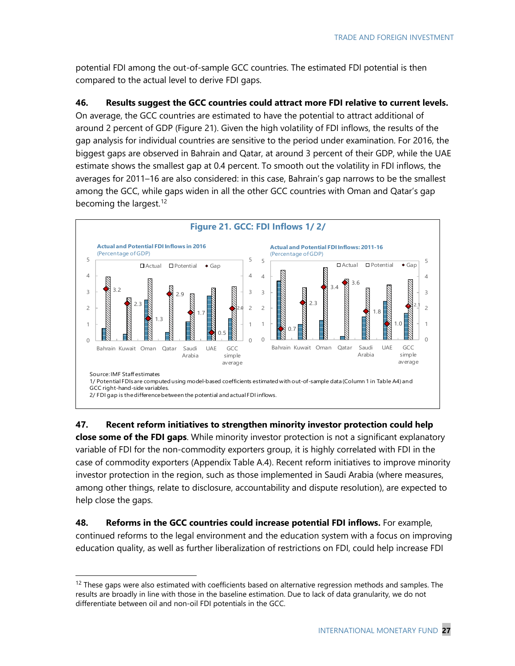potential FDI among the out-of-sample GCC countries. The estimated FDI potential is then compared to the actual level to derive FDI gaps.

### **46. Results suggest the GCC countries could attract more FDI relative to current levels.**

On average, the GCC countries are estimated to have the potential to attract additional of around 2 percent of GDP (Figure 21). Given the high volatility of FDI inflows, the results of the gap analysis for individual countries are sensitive to the period under examination. For 2016, the biggest gaps are observed in Bahrain and Qatar, at around 3 percent of their GDP, while the UAE estimate shows the smallest gap at 0.4 percent. To smooth out the volatility in FDI inflows, the averages for 2011–16 are also considered: in this case, Bahrain's gap narrows to be the smallest among the GCC, while gaps widen in all the other GCC countries with Oman and Qatar's gap becoming the largest.<sup>[12](#page-26-0)</sup>



**47. Recent reform initiatives to strengthen minority investor protection could help close some of the FDI gaps**. While minority investor protection is not a significant explanatory variable of FDI for the non-commodity exporters group, it is highly correlated with FDI in the case of commodity exporters (Appendix Table A.4). Recent reform initiatives to improve minority investor protection in the region, such as those implemented in Saudi Arabia (where measures, among other things, relate to disclosure, accountability and dispute resolution), are expected to help close the gaps.

**48. Reforms in the GCC countries could increase potential FDI inflows.** For example, continued reforms to the legal environment and the education system with a focus on improving education quality, as well as further liberalization of restrictions on FDI, could help increase FDI

<span id="page-26-0"></span> $12$  These gaps were also estimated with coefficients based on alternative regression methods and samples. The results are broadly in line with those in the baseline estimation. Due to lack of data granularity, we do not differentiate between oil and non-oil FDI potentials in the GCC.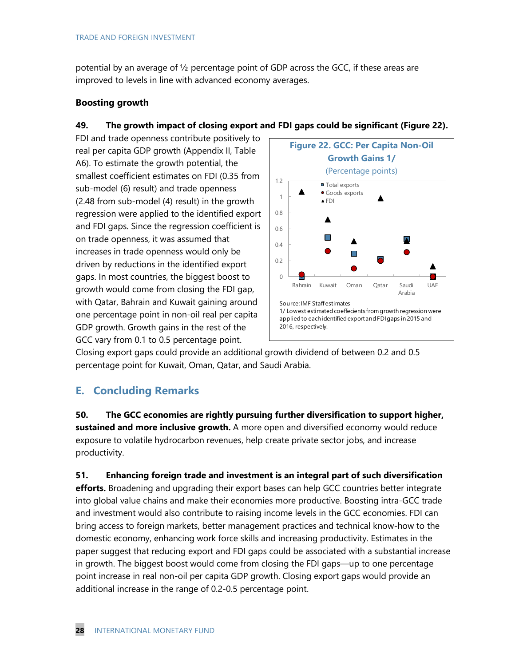potential by an average of ½ percentage point of GDP across the GCC, if these areas are improved to levels in line with advanced economy averages.

### **Boosting growth**

### **49. The growth impact of closing export and FDI gaps could be significant (Figure 22).**

FDI and trade openness contribute positively to real per capita GDP growth (Appendix II, Table A6). To estimate the growth potential, the smallest coefficient estimates on FDI (0.35 from sub-model (6) result) and trade openness (2.48 from sub-model (4) result) in the growth regression were applied to the identified export and FDI gaps. Since the regression coefficient is on trade openness, it was assumed that increases in trade openness would only be driven by reductions in the identified export gaps. In most countries, the biggest boost to growth would come from closing the FDI gap, with Qatar, Bahrain and Kuwait gaining around one percentage point in non-oil real per capita GDP growth. Growth gains in the rest of the GCC vary from 0.1 to 0.5 percentage point.



Closing export gaps could provide an additional growth dividend of between 0.2 and 0.5 percentage point for Kuwait, Oman, Qatar, and Saudi Arabia.

### **E. Concluding Remarks**

**50. The GCC economies are rightly pursuing further diversification to support higher, sustained and more inclusive growth.** A more open and diversified economy would reduce exposure to volatile hydrocarbon revenues, help create private sector jobs, and increase productivity.

**51. Enhancing foreign trade and investment is an integral part of such diversification efforts.** Broadening and upgrading their export bases can help GCC countries better integrate into global value chains and make their economies more productive. Boosting intra-GCC trade and investment would also contribute to raising income levels in the GCC economies. FDI can bring access to foreign markets, better management practices and technical know-how to the domestic economy, enhancing work force skills and increasing productivity. Estimates in the paper suggest that reducing export and FDI gaps could be associated with a substantial increase in growth. The biggest boost would come from closing the FDI gaps—up to one percentage point increase in real non-oil per capita GDP growth. Closing export gaps would provide an additional increase in the range of 0.2-0.5 percentage point.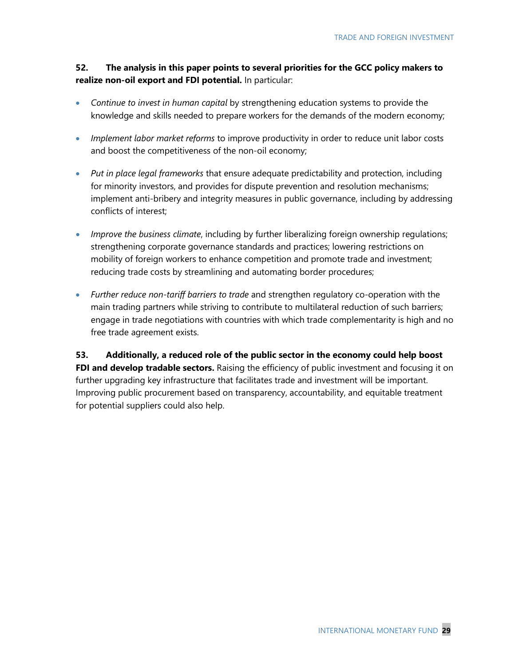### **52. The analysis in this paper points to several priorities for the GCC policy makers to realize non-oil export and FDI potential.** In particular:

- *Continue to invest in human capital* by strengthening education systems to provide the knowledge and skills needed to prepare workers for the demands of the modern economy;
- *Implement labor market reforms* to improve productivity in order to reduce unit labor costs and boost the competitiveness of the non-oil economy;
- *Put in place legal frameworks* that ensure adequate predictability and protection, including for minority investors, and provides for dispute prevention and resolution mechanisms; implement anti-bribery and integrity measures in public governance, including by addressing conflicts of interest;
- *Improve the business climate*, including by further liberalizing foreign ownership regulations; strengthening corporate governance standards and practices; lowering restrictions on mobility of foreign workers to enhance competition and promote trade and investment; reducing trade costs by streamlining and automating border procedures;
- *Further reduce non-tariff barriers to trade* and strengthen regulatory co-operation with the main trading partners while striving to contribute to multilateral reduction of such barriers; engage in trade negotiations with countries with which trade complementarity is high and no free trade agreement exists.

**53. Additionally, a reduced role of the public sector in the economy could help boost**  FDI and develop tradable sectors. Raising the efficiency of public investment and focusing it on further upgrading key infrastructure that facilitates trade and investment will be important. Improving public procurement based on transparency, accountability, and equitable treatment for potential suppliers could also help.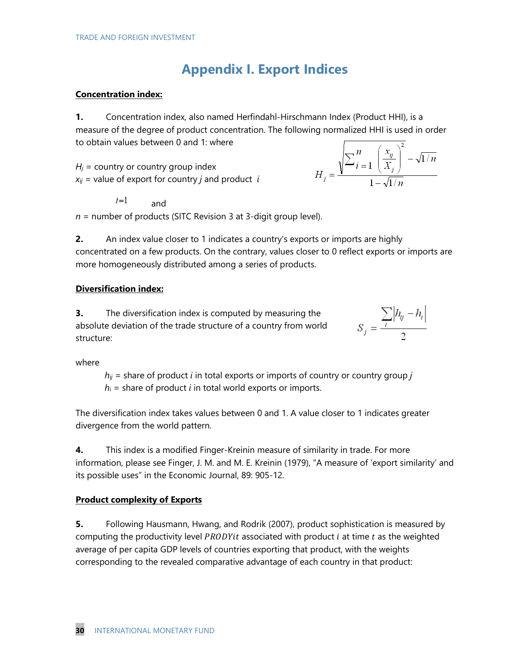# **Appendix I. Export Indices**

#### **Concentration index:**

**1.** Concentration index, also named Herfindahl-Hirschmann Index (Product HHI), is a measure of the degree of product concentration. The following normalized HHI is used in order to obtain values between 0 and 1: where

 $H<sub>i</sub>$  = country or country group index  $x_{ij}$  = value of export for country *j* and product *i* 

$$
H_j = \frac{\sqrt{\sum_{i=1}^{n} \left(\frac{x_{ij}}{X_j}\right)^2 - \sqrt{1/n}}}{1 - \sqrt{1/n}}
$$

and *n* = number of products (SITC Revision 3 at 3-digit group level).

**2.** An index value closer to 1 indicates a country's exports or imports are highly concentrated on a few products. On the contrary, values closer to 0 reflect exports or imports are more homogeneously distributed among a series of products.

### **Diversification index:**

 $i=1$ 

**3.** The diversification index is computed by measuring the absolute deviation of the trade structure of a country from world structure:

$$
S_j = \frac{\sum_i |h_{ij} - h_i|}{2}
$$

where

 $h_{ij}$  = share of product *i* in total exports or imports of country or country group *j*  $h_i$  = share of product *i* in total world exports or imports.

The diversification index takes values between 0 and 1. A value closer to 1 indicates greater divergence from the world pattern.

**4.** This index is a modified Finger-Kreinin measure of similarity in trade. For more information, please see Finger, J. M. and M. E. Kreinin (1979), "A measure of 'export similarity' and its possible uses" in the Economic Journal, 89: 905-12.

### **Product complexity of Exports**

**5.** Following Hausmann, Hwang, and Rodrik (2007), product sophistication is measured by computing the productivity level  $PRODY$  associated with product  $i$  at time  $t$  as the weighted average of per capita GDP levels of countries exporting that product, with the weights corresponding to the revealed comparative advantage of each country in that product: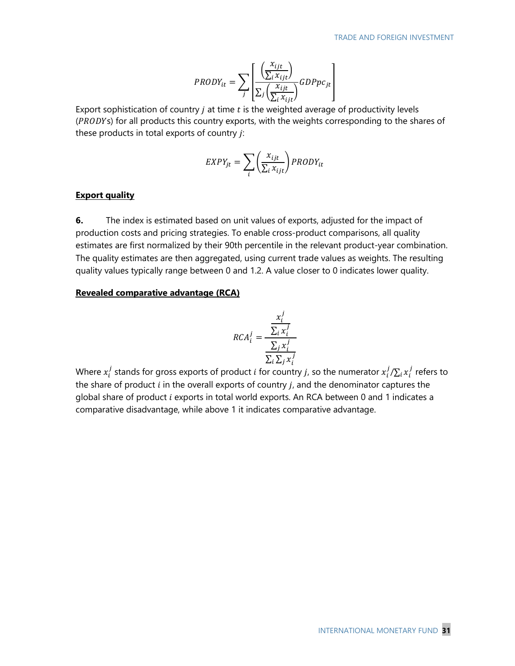$$
PRODY_{it} = \sum_{j} \left[ \frac{\left(\frac{x_{ijt}}{\sum_{i} x_{ijt}}\right)}{\sum_{j} \left(\frac{x_{ijt}}{\sum_{i} x_{ijt}}\right)} GDPpc_{jt} \right]
$$

Export sophistication of country  $j$  at time  $t$  is the weighted average of productivity levels  $(PRODYs)$  for all products this country exports, with the weights corresponding to the shares of these products in total exports of country  $j$ :

$$
EXPY_{jt} = \sum_{i} \left(\frac{x_{ijt}}{\sum_{i} x_{ijt}}\right) PRODY_{it}
$$

#### **Export quality**

**6.** The index is estimated based on unit values of exports, adjusted for the impact of production costs and pricing strategies. To enable cross-product comparisons, all quality estimates are first normalized by their 90th percentile in the relevant product-year combination. The quality estimates are then aggregated, using current trade values as weights. The resulting quality values typically range between 0 and 1.2. A value closer to 0 indicates lower quality.

#### **Revealed comparative advantage (RCA)**

$$
RCA_i^j = \frac{\frac{x_i^j}{\sum_i x_i^j}}{\frac{\sum_j x_i^j}{\sum_i \sum_j x_i^j}}
$$

Where  $x_i'$  stands for gross exports of product  $i$  for country  $j$ , so the numerator  $x_i'/\Sigma_i\,x_i'$  refers to the share of product  $i$  in the overall exports of country  $j$ , and the denominator captures the global share of product  $i$  exports in total world exports. An RCA between 0 and 1 indicates a comparative disadvantage, while above 1 it indicates comparative advantage.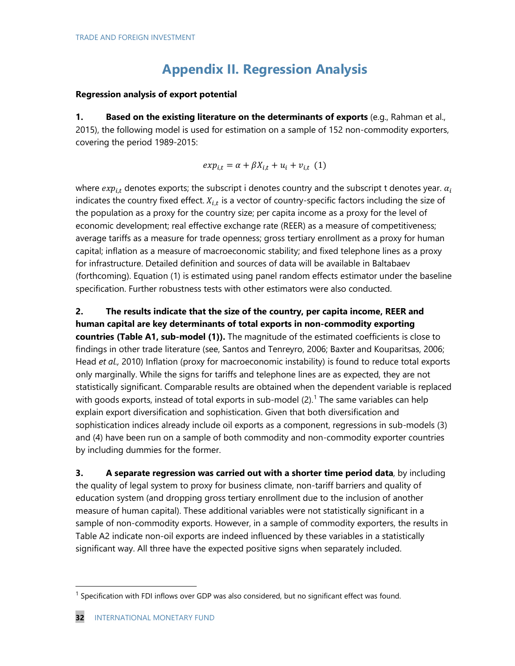# **Appendix II. Regression Analysis**

#### **Regression analysis of export potential**

**1. Based on the existing literature on the determinants of exports** (e.g., Rahman et al., 2015), the following model is used for estimation on a sample of 152 non-commodity exporters, covering the period 1989-2015:

$$
exp_{i,t} = \alpha + \beta X_{i,t} + u_i + v_{i,t} \quad (1)
$$

where  $exp_{i,t}$  denotes exports; the subscript i denotes country and the subscript t denotes year.  $\alpha_i$ indicates the country fixed effect.  $X_{i,t}$  is a vector of country-specific factors including the size of the population as a proxy for the country size; per capita income as a proxy for the level of economic development; real effective exchange rate (REER) as a measure of competitiveness; average tariffs as a measure for trade openness; gross tertiary enrollment as a proxy for human capital; inflation as a measure of macroeconomic stability; and fixed telephone lines as a proxy for infrastructure. Detailed definition and sources of data will be available in Baltabaev (forthcoming). Equation (1) is estimated using panel random effects estimator under the baseline specification. Further robustness tests with other estimators were also conducted.

**2. The results indicate that the size of the country, per capita income, REER and human capital are key determinants of total exports in non-commodity exporting countries (Table A1, sub-model (1)).** The magnitude of the estimated coefficients is close to findings in other trade literature (see, Santos and Tenreyro, 2006; Baxter and Kouparitsas, 2006; Head *et al.,* 2010) Inflation (proxy for macroeconomic instability) is found to reduce total exports only marginally. While the signs for tariffs and telephone lines are as expected, they are not statistically significant. Comparable results are obtained when the dependent variable is replaced with goods exports, instead of total exports in sub-model  $(2)$ .<sup>[1](#page-31-0)</sup> The same variables can help explain export diversification and sophistication. Given that both diversification and sophistication indices already include oil exports as a component, regressions in sub-models (3) and (4) have been run on a sample of both commodity and non-commodity exporter countries by including dummies for the former.

**3. A separate regression was carried out with a shorter time period data**, by including the quality of legal system to proxy for business climate, non-tariff barriers and quality of education system (and dropping gross tertiary enrollment due to the inclusion of another measure of human capital). These additional variables were not statistically significant in a sample of non-commodity exports. However, in a sample of commodity exporters, the results in Table A2 indicate non-oil exports are indeed influenced by these variables in a statistically significant way. All three have the expected positive signs when separately included.

<span id="page-31-0"></span><sup>&</sup>lt;sup>1</sup> Specification with FDI inflows over GDP was also considered, but no significant effect was found.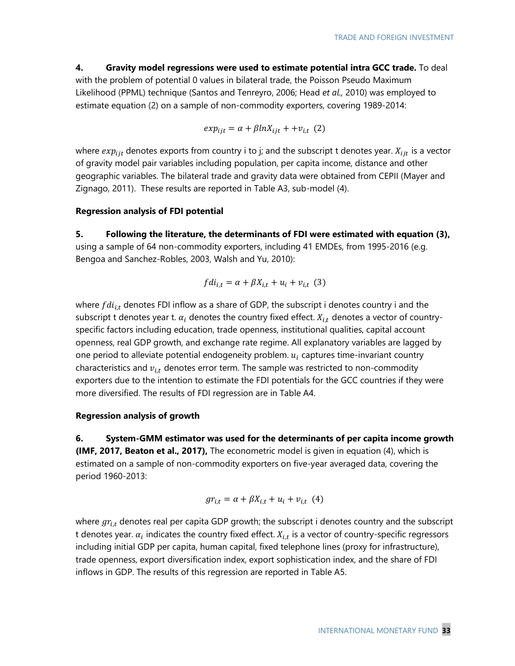### **4. Gravity model regressions were used to estimate potential intra GCC trade.** To deal with the problem of potential 0 values in bilateral trade, the Poisson Pseudo Maximum Likelihood (PPML) technique (Santos and Tenreyro, 2006; Head *et al.,* 2010) was employed to estimate equation (2) on a sample of non-commodity exporters, covering 1989-2014:

$$
exp_{ijt} = \alpha + \beta ln X_{ijt} + + v_{i,t} (2)
$$

where  $exp_{ijt}$  denotes exports from country i to j; and the subscript t denotes year.  $X_{ijt}$  is a vector of gravity model pair variables including population, per capita income, distance and other geographic variables. The bilateral trade and gravity data were obtained from CEPII (Mayer and Zignago, 2011). These results are reported in Table A3, sub-model (4).

#### **Regression analysis of FDI potential**

**5. Following the literature, the determinants of FDI were estimated with equation (3),** using a sample of 64 non-commodity exporters, including 41 EMDEs, from 1995-2016 (e.g. Bengoa and Sanchez-Robles, 2003, Walsh and Yu, 2010):

$$
fdi_{i,t} = \alpha + \beta X_{i,t} + u_i + v_{i,t} \quad (3)
$$

where  $fdi_{i,t}$  denotes FDI inflow as a share of GDP, the subscript i denotes country i and the subscript t denotes year t.  $\alpha_i$  denotes the country fixed effect.  $X_{i,t}$  denotes a vector of countryspecific factors including education, trade openness, institutional qualities, capital account openness, real GDP growth, and exchange rate regime. All explanatory variables are lagged by one period to alleviate potential endogeneity problem.  $u_i$  captures time-invariant country characteristics and  $v_{i,t}$  denotes error term. The sample was restricted to non-commodity exporters due to the intention to estimate the FDI potentials for the GCC countries if they were more diversified. The results of FDI regression are in Table A4.

#### **Regression analysis of growth**

**6. System-GMM estimator was used for the determinants of per capita income growth (IMF, 2017, Beaton et al., 2017),** The econometric model is given in equation (4), which is estimated on a sample of non-commodity exporters on five-year averaged data, covering the period 1960-2013:

$$
gr_{i,t} = \alpha + \beta X_{i,t} + u_i + v_{i,t} \quad (4)
$$

where  $gr_{i,t}$  denotes real per capita GDP growth; the subscript i denotes country and the subscript t denotes year.  $\alpha_i$  indicates the country fixed effect.  $X_{i,t}$  is a vector of country-specific regressors including initial GDP per capita, human capital, fixed telephone lines (proxy for infrastructure), trade openness, export diversification index, export sophistication index, and the share of FDI inflows in GDP. The results of this regression are reported in Table A5.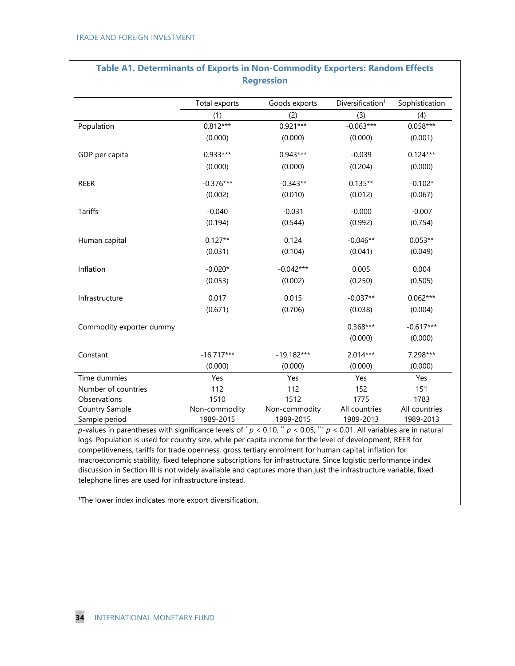|                          | Total exports | Goods exports | Diversification <sup>1</sup> | Sophistication |
|--------------------------|---------------|---------------|------------------------------|----------------|
|                          | (1)           | (2)           | (3)                          | (4)            |
| Population               | $0.812***$    | $0.921***$    | $-0.063***$                  | $0.058***$     |
|                          | (0.000)       | (0.000)       | (0.000)                      | (0.001)        |
| GDP per capita           | 0.933***      | 0.943***      | $-0.039$                     | $0.124***$     |
|                          | (0.000)       | (0.000)       | (0.204)                      | (0.000)        |
| <b>REER</b>              | $-0.376***$   | $-0.343**$    | $0.135**$                    | $-0.102*$      |
|                          | (0.002)       | (0.010)       | (0.012)                      | (0.067)        |
| Tariffs                  | $-0.040$      | $-0.031$      | $-0.000$                     | $-0.007$       |
|                          | (0.194)       | (0.544)       | (0.992)                      | (0.754)        |
| Human capital            | $0.127**$     | 0.124         | $-0.046**$                   | $0.053**$      |
|                          | (0.031)       | (0.104)       | (0.041)                      | (0.049)        |
| Inflation                | $-0.020*$     | $-0.042***$   | 0.005                        | 0.004          |
|                          | (0.053)       | (0.002)       | (0.250)                      | (0.505)        |
| Infrastructure           | 0.017         | 0.015         | $-0.037**$                   | $0.062***$     |
|                          | (0.671)       | (0.706)       | (0.038)                      | (0.004)        |
| Commodity exporter dummy |               |               | $0.368***$                   | $-0.617***$    |
|                          |               |               | (0.000)                      | (0.000)        |
| Constant                 | $-16.717***$  | $-19.182***$  | $2.014***$                   | 7.298***       |
|                          | (0.000)       | (0.000)       | (0.000)                      | (0.000)        |
| Time dummies             | Yes           | Yes           | Yes                          | Yes            |
| Number of countries      | 112           | 112           | 152                          | 151            |
| Observations             | 1510          | 1512          | 1775                         | 1783           |
| Country Sample           | Non-commodity | Non-commodity | All countries                | All countries  |
| Sample period            | 1989-2015     | 1989-2015     | 1989-2013                    | 1989-2013      |

# **Table A1. Determinants of Exports in Non-Commodity Exporters: Random Effects**

competitiveness, tariffs for trade openness, gross tertiary enrolment for human capital, inflation for macroeconomic stability, fixed telephone subscriptions for infrastructure. Since logistic performance index discussion in Section III is not widely available and captures more than just the infrastructure variable, fixed telephone lines are used for infrastructure instead.

<sup>1</sup>The lower index indicates more export diversification.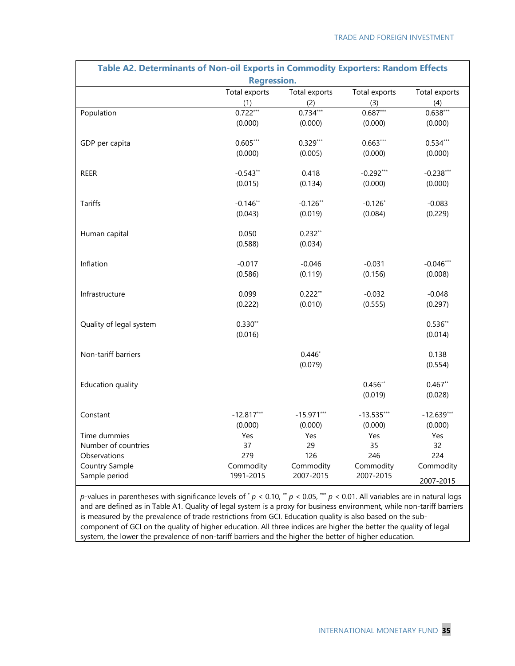| Table A2. Determinants of Non-oil Exports in Commodity Exporters: Random Effects |                    |               |               |               |
|----------------------------------------------------------------------------------|--------------------|---------------|---------------|---------------|
|                                                                                  | <b>Regression.</b> |               |               |               |
|                                                                                  | Total exports      | Total exports | Total exports | Total exports |
|                                                                                  | (1)                | (2)           | (3)           | (4)           |
| Population                                                                       | $0.722***$         | $0.734***$    | $0.687***$    | $0.638***$    |
|                                                                                  | (0.000)            | (0.000)       | (0.000)       | (0.000)       |
| GDP per capita                                                                   | $0.605***$         | $0.329***$    | $0.663***$    | $0.534***$    |
|                                                                                  | (0.000)            | (0.005)       | (0.000)       | (0.000)       |
| <b>REER</b>                                                                      | $-0.543**$         | 0.418         | $-0.292***$   | $-0.238***$   |
|                                                                                  | (0.015)            | (0.134)       | (0.000)       | (0.000)       |
| <b>Tariffs</b>                                                                   | $-0.146**$         | $-0.126**$    | $-0.126*$     | $-0.083$      |
|                                                                                  | (0.043)            | (0.019)       | (0.084)       | (0.229)       |
| Human capital                                                                    | 0.050              | $0.232**$     |               |               |
|                                                                                  | (0.588)            | (0.034)       |               |               |
| Inflation                                                                        | $-0.017$           | $-0.046$      | $-0.031$      | $-0.046***$   |
|                                                                                  | (0.586)            | (0.119)       | (0.156)       | (0.008)       |
| Infrastructure                                                                   | 0.099              | $0.222**$     | $-0.032$      | $-0.048$      |
|                                                                                  | (0.222)            | (0.010)       | (0.555)       | (0.297)       |
| Quality of legal system                                                          | $0.330**$          |               |               | $0.536**$     |
|                                                                                  | (0.016)            |               |               | (0.014)       |
| Non-tariff barriers                                                              |                    | $0.446*$      |               | 0.138         |
|                                                                                  |                    | (0.079)       |               | (0.554)       |
| Education quality                                                                |                    |               | $0.456***$    | $0.467**$     |
|                                                                                  |                    |               | (0.019)       | (0.028)       |
| Constant                                                                         | $-12.817***$       | $-15.971***$  | $-13.535***$  | $-12.639***$  |
|                                                                                  | (0.000)            | (0.000)       | (0.000)       | (0.000)       |
| Time dummies                                                                     | Yes                | Yes           | Yes           | Yes           |
| Number of countries                                                              | 37                 | 29            | 35            | 32            |
| Observations                                                                     | 279                | 126           | 246           | 224           |
| Country Sample                                                                   | Commodity          | Commodity     | Commodity     | Commodity     |
| Sample period                                                                    | 1991-2015          | 2007-2015     | 2007-2015     | 2007-2015     |

*p*-values in parentheses with significance levels of  $^*p$  < 0.10,  $^*p$  < 0.05,  $^{**}p$  < 0.01. All variables are in natural logs and are defined as in Table A1. Quality of legal system is a proxy for business environment, while non-tariff barriers is measured by the prevalence of trade restrictions from GCI. Education quality is also based on the subcomponent of GCI on the quality of higher education. All three indices are higher the better the quality of legal system, the lower the prevalence of non-tariff barriers and the higher the better of higher education.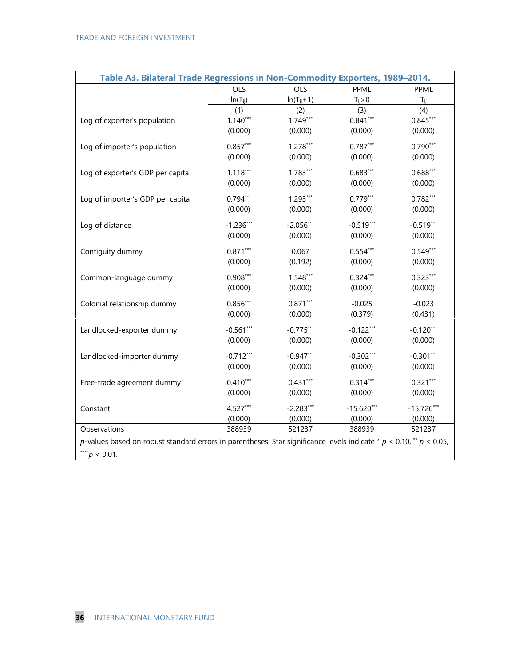| Table A3. Bilateral Trade Regressions in Non-Commodity Exporters, 1989-2014.                                              |              |                |              |              |  |  |  |  |
|---------------------------------------------------------------------------------------------------------------------------|--------------|----------------|--------------|--------------|--|--|--|--|
|                                                                                                                           | <b>OLS</b>   | OLS            | PPML         | PPML         |  |  |  |  |
|                                                                                                                           | $In(T_{ii})$ | $In(T_{ij}+1)$ | $T_{ij} > 0$ | $T_{ii}$     |  |  |  |  |
|                                                                                                                           | (1)          | (2)            | (3)          | (4)          |  |  |  |  |
| Log of exporter's population                                                                                              | $1.140***$   | $1.749***$     | $0.841***$   | $0.845***$   |  |  |  |  |
|                                                                                                                           | (0.000)      | (0.000)        | (0.000)      | (0.000)      |  |  |  |  |
| Log of importer's population                                                                                              | $0.857***$   | $1.278***$     | $0.787***$   | $0.790***$   |  |  |  |  |
|                                                                                                                           | (0.000)      | (0.000)        | (0.000)      | (0.000)      |  |  |  |  |
| Log of exporter's GDP per capita                                                                                          | $1.118***$   | $1.783***$     | $0.683***$   | $0.688***$   |  |  |  |  |
|                                                                                                                           | (0.000)      | (0.000)        | (0.000)      | (0.000)      |  |  |  |  |
|                                                                                                                           | $0.794***$   | $1.293***$     | $0.779***$   | $0.782***$   |  |  |  |  |
| Log of importer's GDP per capita                                                                                          | (0.000)      | (0.000)        | (0.000)      | (0.000)      |  |  |  |  |
|                                                                                                                           |              |                |              |              |  |  |  |  |
| Log of distance                                                                                                           | $-1.236***$  | $-2.056***$    | $-0.519***$  | $-0.519***$  |  |  |  |  |
|                                                                                                                           | (0.000)      | (0.000)        | (0.000)      | (0.000)      |  |  |  |  |
| Contiguity dummy                                                                                                          | $0.871***$   | 0.067          | $0.554***$   | $0.549***$   |  |  |  |  |
|                                                                                                                           | (0.000)      | (0.192)        | (0.000)      | (0.000)      |  |  |  |  |
| Common-language dummy                                                                                                     | $0.908***$   | $1.548***$     | $0.324***$   | $0.323***$   |  |  |  |  |
|                                                                                                                           | (0.000)      | (0.000)        | (0.000)      | (0.000)      |  |  |  |  |
| Colonial relationship dummy                                                                                               | $0.856***$   | $0.871***$     | $-0.025$     | $-0.023$     |  |  |  |  |
|                                                                                                                           | (0.000)      | (0.000)        | (0.379)      | (0.431)      |  |  |  |  |
|                                                                                                                           |              |                |              |              |  |  |  |  |
| Landlocked-exporter dummy                                                                                                 | $-0.561***$  | $-0.775***$    | $-0.122***$  | $-0.120***$  |  |  |  |  |
|                                                                                                                           | (0.000)      | (0.000)        | (0.000)      | (0.000)      |  |  |  |  |
| Landlocked-importer dummy                                                                                                 | $-0.712***$  | $-0.947***$    | $-0.302***$  | $-0.301***$  |  |  |  |  |
|                                                                                                                           | (0.000)      | (0.000)        | (0.000)      | (0.000)      |  |  |  |  |
| Free-trade agreement dummy                                                                                                | $0.410***$   | $0.431***$     | $0.314***$   | $0.321***$   |  |  |  |  |
|                                                                                                                           | (0.000)      | (0.000)        | (0.000)      | (0.000)      |  |  |  |  |
| Constant                                                                                                                  | $4.527***$   | $-2.283***$    | $-15.620***$ | $-15.726***$ |  |  |  |  |
|                                                                                                                           | (0.000)      | (0.000)        | (0.000)      | (0.000)      |  |  |  |  |
| Observations                                                                                                              | 388939       | 521237         | 388939       | 521237       |  |  |  |  |
| p-values based on robust standard errors in parentheses. Star significance levels indicate * $p < 0.10$ , ** $p < 0.05$ , |              |                |              |              |  |  |  |  |
| *** $p < 0.01$ .                                                                                                          |              |                |              |              |  |  |  |  |
|                                                                                                                           |              |                |              |              |  |  |  |  |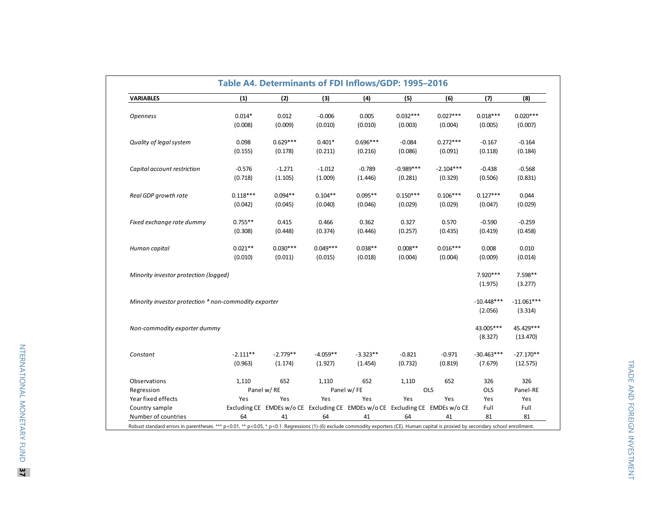| <b>VARIABLES</b>                                      | (1)        | (2)        | (3)        | (4)                                                                           | (5)         | (6)         | (7)          | (8)          |
|-------------------------------------------------------|------------|------------|------------|-------------------------------------------------------------------------------|-------------|-------------|--------------|--------------|
| <b>Openness</b>                                       | $0.014*$   | 0.012      | $-0.006$   | 0.005                                                                         | $0.032***$  | $0.027***$  | $0.018***$   | $0.020***$   |
|                                                       | (0.008)    | (0.009)    | (0.010)    | (0.010)                                                                       | (0.003)     | (0.004)     | (0.005)      | (0.007)      |
| Quality of legal system                               | 0.098      | $0.629***$ | $0.401*$   | $0.696***$                                                                    | $-0.084$    | $0.272***$  | $-0.167$     | $-0.164$     |
|                                                       | (0.155)    | (0.178)    | (0.211)    | (0.216)                                                                       | (0.086)     | (0.091)     | (0.118)      | (0.184)      |
| Capital account restriction                           | $-0.576$   | $-1.271$   | $-1.012$   | $-0.789$                                                                      | $-0.989***$ | $-2.104***$ | $-0.438$     | $-0.568$     |
|                                                       | (0.718)    | (1.105)    | (1.009)    | (1.446)                                                                       | (0.281)     | (0.329)     | (0.506)      | (0.831)      |
| Real GDP growth rate                                  | $0.118***$ | $0.094**$  | $0.104**$  | $0.095**$                                                                     | $0.150***$  | $0.106***$  | $0.127***$   | 0.044        |
|                                                       | (0.042)    | (0.045)    | (0.040)    | (0.046)                                                                       | (0.029)     | (0.029)     | (0.047)      | (0.029)      |
| Fixed exchange rate dummy                             | $0.755**$  | 0.415      | 0.466      | 0.362                                                                         | 0.327       | 0.570       | $-0.590$     | $-0.259$     |
|                                                       | (0.308)    | (0.448)    | (0.374)    | (0.446)                                                                       | (0.257)     | (0.435)     | (0.419)      | (0.458)      |
| Human capital                                         | $0.021**$  | $0.030***$ | $0.049***$ | $0.038**$                                                                     | $0.008**$   | $0.016***$  | 0.008        | 0.010        |
|                                                       | (0.010)    | (0.011)    | (0.015)    | (0.018)                                                                       | (0.004)     | (0.004)     | (0.009)      | (0.014)      |
| Minority investor protection (logged)                 |            |            |            |                                                                               |             |             | 7.920***     | 7.598**      |
|                                                       |            |            |            |                                                                               |             |             | (1.975)      | (3.277)      |
| Minority investor protection * non-commodity exporter |            |            |            |                                                                               |             |             | $-10.448***$ | $-11.061***$ |
|                                                       |            |            |            |                                                                               |             |             | (2.056)      | (3.314)      |
| Non-commodity exporter dummy                          |            |            |            |                                                                               |             |             | 43.005***    | 45.429***    |
|                                                       |            |            |            |                                                                               |             |             | (8.327)      | (13.470)     |
| Constant                                              | $-2.111**$ | $-2.779**$ | $-4.059**$ | $-3.323**$                                                                    | $-0.821$    | $-0.971$    | $-30.463***$ | $-27.170**$  |
|                                                       | (0.963)    | (1.174)    | (1.927)    | (1.454)                                                                       | (0.732)     | (0.819)     | (7.679)      | (12.575)     |
| Observations                                          | 1,110      | 652        | 1,110      | 652                                                                           | 1,110       | 652         | 326          | 326          |
| Regression                                            |            | Panel w/RE |            | Panel w/FE                                                                    |             | OLS         | <b>OLS</b>   | Panel-RE     |
| Year fixed effects                                    | Yes        | Yes        | Yes        | Yes                                                                           | Yes         | Yes         | Yes          | Yes          |
| Country sample                                        |            |            |            | Excluding CE EMDEs w/o CE Excluding CE EMDEs w/o CE Excluding CE EMDEs w/o CE |             |             | Full         | Full         |
|                                                       |            |            |            |                                                                               |             |             |              |              |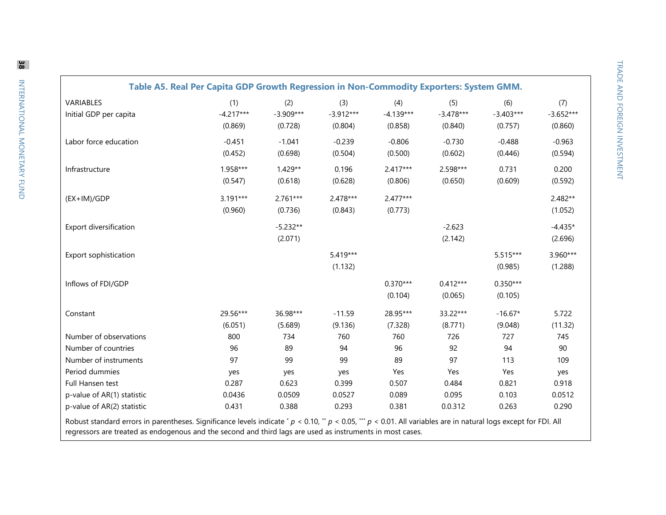| VARIABLES                  | (1)         | (2)         | (3)         | (4)         | (5)         | (6)         | (7)         |
|----------------------------|-------------|-------------|-------------|-------------|-------------|-------------|-------------|
| Initial GDP per capita     | $-4.217***$ | $-3.909***$ | $-3.912***$ | $-4.139***$ | $-3.478***$ | $-3.403***$ | $-3.652***$ |
|                            | (0.869)     | (0.728)     | (0.804)     | (0.858)     | (0.840)     | (0.757)     | (0.860)     |
| Labor force education      | $-0.451$    | $-1.041$    | $-0.239$    | $-0.806$    | $-0.730$    | $-0.488$    | $-0.963$    |
|                            | (0.452)     | (0.698)     | (0.504)     | (0.500)     | (0.602)     | (0.446)     | (0.594)     |
| Infrastructure             | 1.958***    | $1.429**$   | 0.196       | $2.417***$  | 2.598***    | 0.731       | 0.200       |
|                            | (0.547)     | (0.618)     | (0.628)     | (0.806)     | (0.650)     | (0.609)     | (0.592)     |
| (EX+IM)/GDP                | $3.191***$  | $2.761***$  | 2.478***    | 2.477***    |             |             | 2.482**     |
|                            | (0.960)     | (0.736)     | (0.843)     | (0.773)     |             |             | (1.052)     |
| Export diversification     |             | $-5.232**$  |             |             | $-2.623$    |             | $-4.435*$   |
|                            |             | (2.071)     |             |             | (2.142)     |             | (2.696)     |
| Export sophistication      |             |             | $5.419***$  |             |             | 5.515***    | 3.960***    |
|                            |             |             | (1.132)     |             |             | (0.985)     | (1.288)     |
| Inflows of FDI/GDP         |             |             |             | $0.370***$  | $0.412***$  | $0.350***$  |             |
|                            |             |             |             | (0.104)     | (0.065)     | (0.105)     |             |
| Constant                   | 29.56***    | 36.98***    | $-11.59$    | 28.95***    | 33.22***    | $-16.67*$   | 5.722       |
|                            | (6.051)     | (5.689)     | (9.136)     | (7.328)     | (8.771)     | (9.048)     | (11.32)     |
| Number of observations     | 800         | 734         | 760         | 760         | 726         | 727         | 745         |
| Number of countries        | 96          | 89          | 94          | 96          | 92          | 94          | 90          |
| Number of instruments      | 97          | 99          | 99          | 89          | 97          | 113         | 109         |
| Period dummies             | yes         | yes         | yes         | Yes         | Yes         | Yes         | yes         |
| Full Hansen test           | 0.287       | 0.623       | 0.399       | 0.507       | 0.484       | 0.821       | 0.918       |
| p-value of AR(1) statistic | 0.0436      | 0.0509      | 0.0527      | 0.089       | 0.095       | 0.103       | 0.0512      |
| p-value of AR(2) statistic | 0.431       | 0.388       | 0.293       | 0.381       | 0.0.312     | 0.263       | 0.290       |

regressors are treated as endogenous and the second and third lags are used as instruments in most cases.

**38**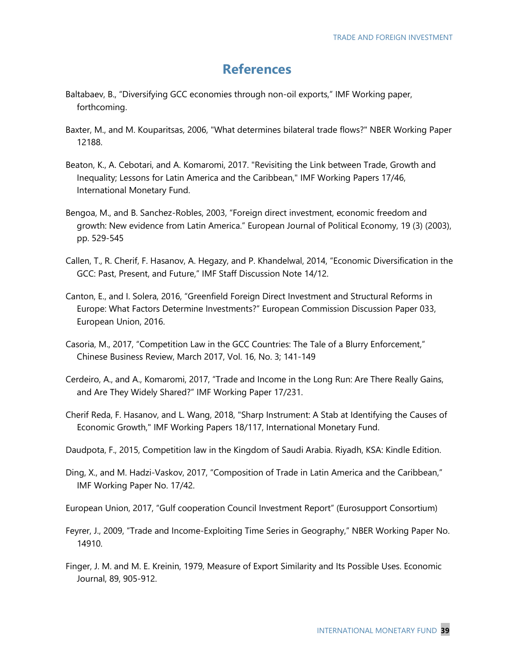## **References**

- Baltabaev, B., "Diversifying GCC economies through non-oil exports," IMF Working paper, forthcoming.
- Baxter, M., and M. Kouparitsas, 2006, "What determines bilateral trade flows?" NBER Working Paper 12188.
- Beaton, K., A. Cebotari, and A. Komaromi, 2017. "Revisiting the Link between Trade, Growth and Inequality; Lessons for Latin America and the Caribbean," IMF Working Papers 17/46, International Monetary Fund.
- Bengoa, M., and B. Sanchez-Robles, 2003, "Foreign direct investment, economic freedom and growth: New evidence from Latin America." European Journal of Political Economy, 19 (3) (2003), pp. 529-545
- Callen, T., R. Cherif, F. Hasanov, A. Hegazy, and P. Khandelwal, 2014, "Economic Diversification in the GCC: Past, Present, and Future," IMF Staff Discussion Note 14/12.
- Canton, E., and I. Solera, 2016, "Greenfield Foreign Direct Investment and Structural Reforms in Europe: What Factors Determine Investments?" European Commission Discussion Paper 033, European Union, 2016.
- Casoria, M., 2017, "Competition Law in the GCC Countries: The Tale of a Blurry Enforcement," Chinese Business Review, March 2017, Vol. 16, No. 3; 141-149
- Cerdeiro, A., and A., Komaromi, 2017, "Trade and Income in the Long Run: Are There Really Gains, and Are They Widely Shared?" IMF Working Paper 17/231.
- Cherif Reda, F. Hasanov, and L. Wang, 2018, "Sharp Instrument: A Stab at Identifying the Causes of Economic Growth," IMF Working Papers 18/117, International Monetary Fund.
- Daudpota, F., 2015, Competition law in the Kingdom of Saudi Arabia. Riyadh, KSA: Kindle Edition.
- Ding, X., and M. Hadzi-Vaskov, 2017, "Composition of Trade in Latin America and the Caribbean," IMF Working Paper No. 17/42.
- European Union, 2017, "Gulf cooperation Council Investment Report" (Eurosupport Consortium)
- Feyrer, J., 2009, "Trade and Income-Exploiting Time Series in Geography," NBER Working Paper No. 14910.
- Finger, J. M. and M. E. Kreinin, 1979, Measure of Export Similarity and Its Possible Uses. Economic Journal, 89, 905-912.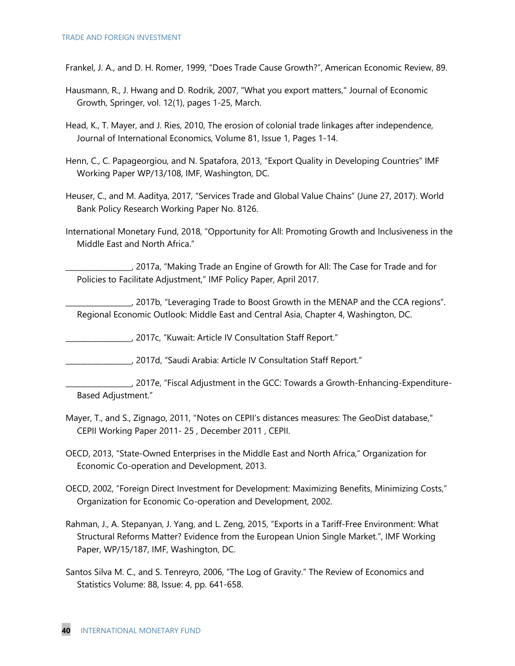Frankel, J. A., and D. H. Romer, 1999, "Does Trade Cause Growth?", American Economic Review, 89.

- Hausmann, R., J. Hwang and D. Rodrik, 2007, "What you export matters," Journal of Economic Growth, Springer, vol. 12(1), pages 1-25, March.
- Head, K., T. Mayer, and J. Ries, 2010, The erosion of colonial trade linkages after independence, Journal of International Economics, Volume 81, Issue 1, Pages 1-14.
- Henn, C., C. Papageorgiou, and N. Spatafora, 2013, "Export Quality in Developing Countries" IMF Working Paper WP/13/108, IMF, Washington, DC.
- Heuser, C., and M. Aaditya, 2017, "Services Trade and Global Value Chains" (June 27, 2017). World Bank Policy Research Working Paper No. 8126.
- International Monetary Fund, 2018, "Opportunity for All: Promoting Growth and Inclusiveness in the Middle East and North Africa."

\_\_\_\_\_\_\_\_\_\_\_\_\_\_\_\_\_\_, 2017a, "Making Trade an Engine of Growth for All: The Case for Trade and for Policies to Facilitate Adjustment," IMF Policy Paper, April 2017.

\_\_\_\_\_\_\_\_\_\_\_\_\_\_\_\_\_\_, 2017b, "Leveraging Trade to Boost Growth in the MENAP and the CCA regions". Regional Economic Outlook: Middle East and Central Asia, Chapter 4, Washington, DC.

\_\_\_\_\_\_\_\_\_\_\_\_\_\_\_\_\_\_, 2017c, "Kuwait: Article IV Consultation Staff Report."

\_\_\_\_\_\_\_\_\_\_\_\_\_\_\_\_\_\_, 2017d, "Saudi Arabia: Article IV Consultation Staff Report."

\_\_\_\_\_\_\_\_\_\_\_\_\_\_\_\_\_\_, 2017e, "Fiscal Adjustment in the GCC: Towards a Growth-Enhancing-Expenditure-Based Adjustment."

- Mayer, T., and S., Zignago, 2011, "Notes on CEPII's distances measures: The GeoDist database," CEPII Working Paper 2011- 25 , December 2011 , CEPII.
- OECD, 2013, "State-Owned Enterprises in the Middle East and North Africa," Organization for Economic Co-operation and Development, 2013.
- OECD, 2002, "Foreign Direct Investment for Development: Maximizing Benefits, Minimizing Costs," Organization for Economic Co-operation and Development, 2002.
- Rahman, J., A. Stepanyan, J. Yang, and L. Zeng, 2015, "Exports in a Tariff-Free Environment: What Structural Reforms Matter? Evidence from the European Union Single Market.", IMF Working Paper, WP/15/187, IMF, Washington, DC.
- Santos Silva M. C., and S. Tenreyro, 2006, "The Log of Gravity." The Review of Economics and Statistics Volume: 88, Issue: 4, pp. 641-658.